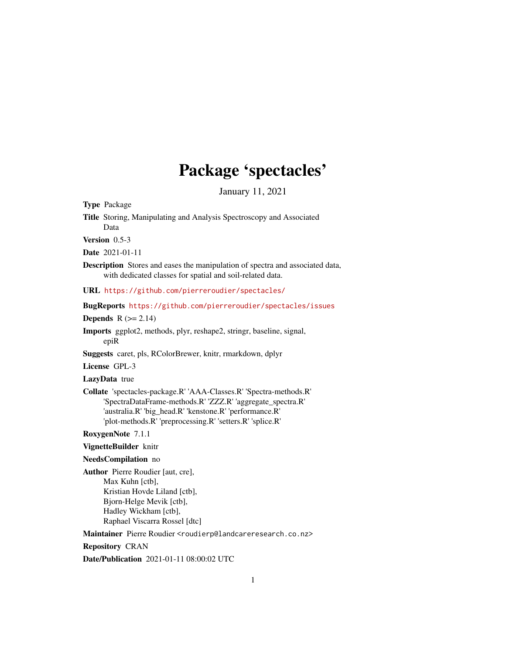# Package 'spectacles'

January 11, 2021

<span id="page-0-0"></span>Type Package

Title Storing, Manipulating and Analysis Spectroscopy and Associated Data

Version 0.5-3

Date 2021-01-11

Description Stores and eases the manipulation of spectra and associated data, with dedicated classes for spatial and soil-related data.

URL <https://github.com/pierreroudier/spectacles/>

BugReports <https://github.com/pierreroudier/spectacles/issues>

## Depends  $R$  ( $>= 2.14$ )

Imports ggplot2, methods, plyr, reshape2, stringr, baseline, signal, epiR

Suggests caret, pls, RColorBrewer, knitr, rmarkdown, dplyr

License GPL-3

#### LazyData true

Collate 'spectacles-package.R' 'AAA-Classes.R' 'Spectra-methods.R' 'SpectraDataFrame-methods.R' 'ZZZ.R' 'aggregate\_spectra.R' 'australia.R' 'big\_head.R' 'kenstone.R' 'performance.R' 'plot-methods.R' 'preprocessing.R' 'setters.R' 'splice.R'

RoxygenNote 7.1.1

VignetteBuilder knitr

#### NeedsCompilation no

Author Pierre Roudier [aut, cre], Max Kuhn [ctb], Kristian Hovde Liland [ctb], Bjorn-Helge Mevik [ctb], Hadley Wickham [ctb], Raphael Viscarra Rossel [dtc]

Maintainer Pierre Roudier <roudierp@landcareresearch.co.nz>

#### Repository CRAN

Date/Publication 2021-01-11 08:00:02 UTC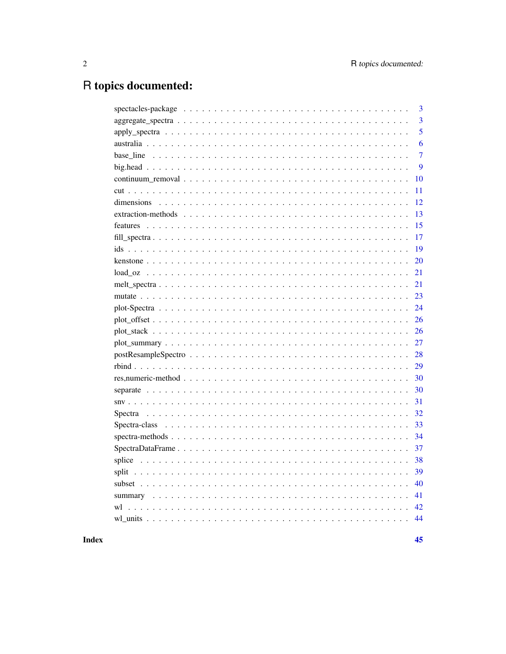# R topics documented:

|                                                                                                              | 3              |
|--------------------------------------------------------------------------------------------------------------|----------------|
|                                                                                                              | 3              |
|                                                                                                              | 5              |
|                                                                                                              | 6              |
|                                                                                                              | $\overline{7}$ |
|                                                                                                              | 9              |
|                                                                                                              | 10             |
|                                                                                                              | 11             |
|                                                                                                              | 12             |
|                                                                                                              | 13             |
|                                                                                                              | 15             |
|                                                                                                              | 17             |
|                                                                                                              | 19             |
|                                                                                                              | 20             |
|                                                                                                              | 21             |
|                                                                                                              | 21             |
|                                                                                                              | 23             |
|                                                                                                              | 24             |
|                                                                                                              | 26             |
|                                                                                                              | 26             |
|                                                                                                              | 27             |
|                                                                                                              | 28             |
|                                                                                                              | 29             |
|                                                                                                              | 30             |
|                                                                                                              | 30             |
|                                                                                                              | 31             |
|                                                                                                              | 32             |
|                                                                                                              | 33             |
| $spectra-methods \ldots \ldots \ldots \ldots \ldots \ldots \ldots \ldots \ldots \ldots \ldots \ldots \ldots$ | 34             |
|                                                                                                              | 37             |
|                                                                                                              | 38             |
|                                                                                                              | 39             |
|                                                                                                              | 40             |
|                                                                                                              | 41             |
| wl                                                                                                           | 42             |
|                                                                                                              | 44             |
|                                                                                                              |                |

**Index**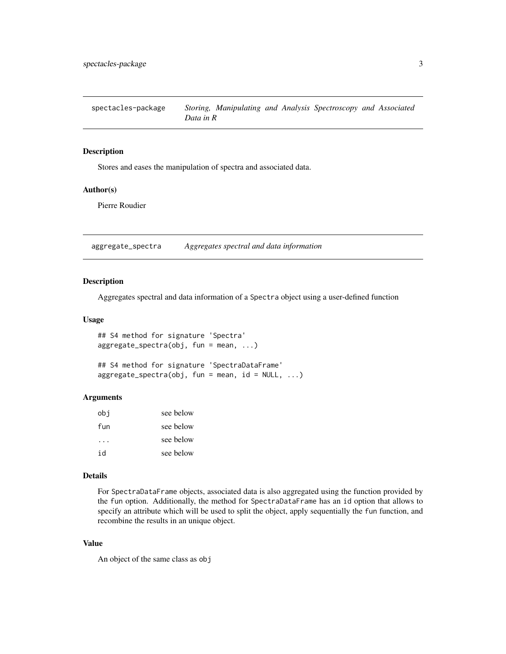<span id="page-2-0"></span>spectacles-package *Storing, Manipulating and Analysis Spectroscopy and Associated Data in R*

#### Description

Stores and eases the manipulation of spectra and associated data.

## Author(s)

Pierre Roudier

<span id="page-2-1"></span>aggregate\_spectra *Aggregates spectral and data information*

## Description

Aggregates spectral and data information of a Spectra object using a user-defined function

#### Usage

```
## S4 method for signature 'Spectra'
aggregate_spectra(obj, fun = mean, ...)
```

```
## S4 method for signature 'SpectraDataFrame'
aggregate\_spectra(obj, fun = mean, id = NULL, ...)
```
#### Arguments

| obi | see below |
|-----|-----------|
| fun | see below |
|     | see below |
| id  | see below |

#### Details

For SpectraDataFrame objects, associated data is also aggregated using the function provided by the fun option. Additionally, the method for SpectraDataFrame has an id option that allows to specify an attribute which will be used to split the object, apply sequentially the fun function, and recombine the results in an unique object.

## Value

An object of the same class as obj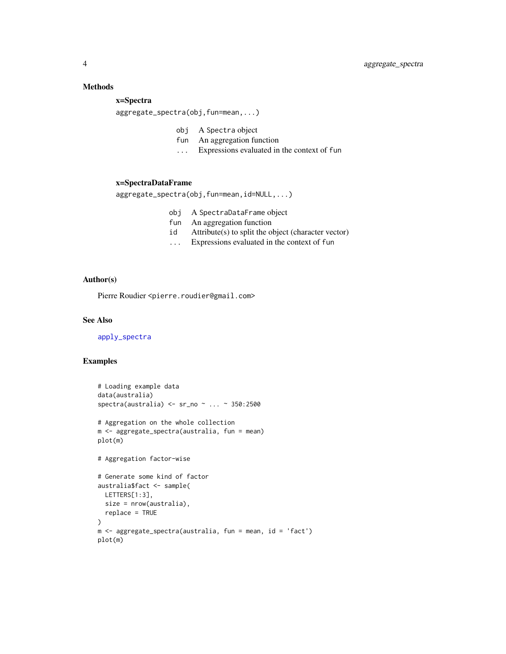## <span id="page-3-0"></span>Methods

## x=Spectra

aggregate\_spectra(obj,fun=mean,...)

- obj A Spectra object
- fun An aggregation function
- ... Expressions evaluated in the context of fun

#### x=SpectraDataFrame

aggregate\_spectra(obj,fun=mean,id=NULL,...)

- obj A SpectraDataFrame object
- fun An aggregation function
- id Attribute(s) to split the object (character vector)
- ... Expressions evaluated in the context of fun

## Author(s)

Pierre Roudier <pierre.roudier@gmail.com>

#### See Also

[apply\\_spectra](#page-4-1)

```
# Loading example data
data(australia)
spectra(australia) <- sr_no ~ ... ~ 350:2500
# Aggregation on the whole collection
m <- aggregate_spectra(australia, fun = mean)
plot(m)
# Aggregation factor-wise
# Generate some kind of factor
australia$fact <- sample(
 LETTERS[1:3],
 size = nrow(australia),
 replace = TRUE
\lambdam <- aggregate_spectra(australia, fun = mean, id = 'fact')
plot(m)
```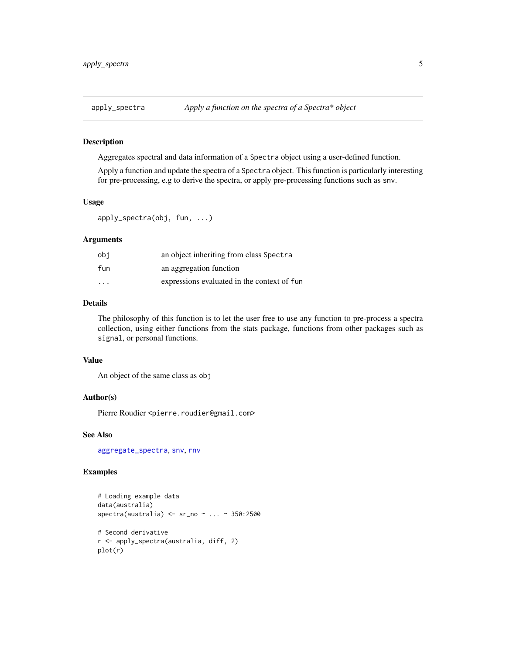<span id="page-4-1"></span><span id="page-4-0"></span>

#### Description

Aggregates spectral and data information of a Spectra object using a user-defined function.

Apply a function and update the spectra of a Spectra object. This function is particularly interesting for pre-processing, e.g to derive the spectra, or apply pre-processing functions such as snv.

#### Usage

apply\_spectra(obj, fun, ...)

#### Arguments

| obi                     | an object inheriting from class Spectra     |
|-------------------------|---------------------------------------------|
| fun                     | an aggregation function                     |
| $\cdot$ $\cdot$ $\cdot$ | expressions evaluated in the context of fun |

## Details

The philosophy of this function is to let the user free to use any function to pre-process a spectra collection, using either functions from the stats package, functions from other packages such as signal, or personal functions.

### Value

An object of the same class as obj

#### Author(s)

Pierre Roudier <pierre.roudier@gmail.com>

## See Also

[aggregate\\_spectra](#page-2-1), [snv](#page-30-1), [rnv](#page-30-2)

```
# Loading example data
data(australia)
spectra(australia) <- sr_no ~ ... ~ 350:2500
# Second derivative
r <- apply_spectra(australia, diff, 2)
plot(r)
```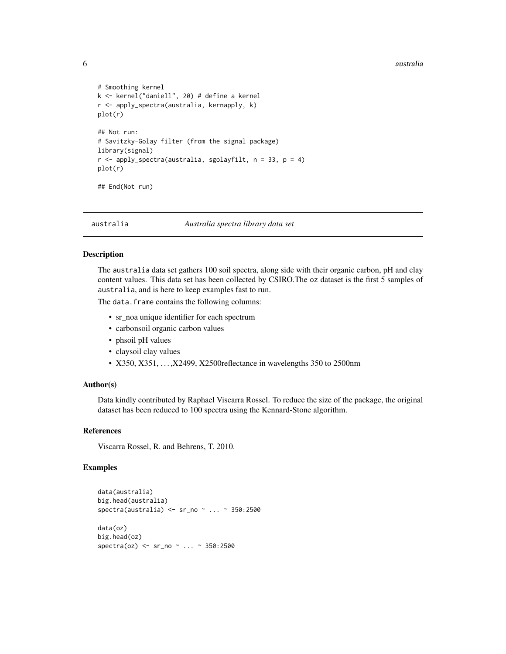#### <span id="page-5-0"></span>6 australia eta aldean artean artean artean artean artean artean australia eta australia eta australia eta australia

```
# Smoothing kernel
k <- kernel("daniell", 20) # define a kernel
r <- apply_spectra(australia, kernapply, k)
plot(r)
## Not run:
# Savitzky-Golay filter (from the signal package)
library(signal)
r \le apply_spectra(australia, sgolayfilt, n = 33, p = 4)
plot(r)
## End(Not run)
```
australia *Australia spectra library data set*

#### Description

The australia data set gathers 100 soil spectra, along side with their organic carbon, pH and clay content values. This data set has been collected by CSIRO.The oz dataset is the first 5 samples of australia, and is here to keep examples fast to run.

The data.frame contains the following columns:

- sr\_noa unique identifier for each spectrum
- carbonsoil organic carbon values
- phsoil pH values
- claysoil clay values
- X350, X351, . . . ,X2499, X2500reflectance in wavelengths 350 to 2500nm

#### Author(s)

Data kindly contributed by Raphael Viscarra Rossel. To reduce the size of the package, the original dataset has been reduced to 100 spectra using the Kennard-Stone algorithm.

#### References

Viscarra Rossel, R. and Behrens, T. 2010.

```
data(australia)
big.head(australia)
spectra(australia) <- sr_no ~ ... ~ 350:2500
data(oz)
big.head(oz)
spectra(oz) <- sr_no ~ ... ~ 350:2500
```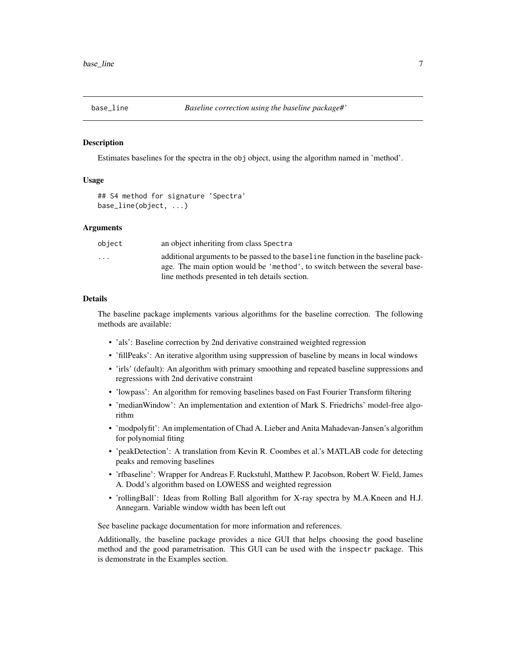<span id="page-6-0"></span>

#### **Description**

Estimates baselines for the spectra in the obj object, using the algorithm named in 'method'.

#### Usage

```
## S4 method for signature 'Spectra'
base_line(object, ...)
```
#### Arguments

| object                  | an object inheriting from class Spectra                                                                                                                                                                           |
|-------------------------|-------------------------------------------------------------------------------------------------------------------------------------------------------------------------------------------------------------------|
| $\cdot$ $\cdot$ $\cdot$ | additional arguments to be passed to the baseline function in the baseline pack-<br>age. The main option would be 'method', to switch between the several base-<br>line methods presented in teh details section. |
|                         |                                                                                                                                                                                                                   |

#### Details

The baseline package implements various algorithms for the baseline correction. The following methods are available:

- 'als': Baseline correction by 2nd derivative constrained weighted regression
- 'fillPeaks': An iterative algorithm using suppression of baseline by means in local windows
- 'irls' (default): An algorithm with primary smoothing and repeated baseline suppressions and regressions with 2nd derivative constraint
- 'lowpass': An algorithm for removing baselines based on Fast Fourier Transform filtering
- 'medianWindow': An implementation and extention of Mark S. Friedrichs' model-free algorithm
- 'modpolyfit': An implementation of Chad A. Lieber and Anita Mahadevan-Jansen's algorithm for polynomial fiting
- 'peakDetection': A translation from Kevin R. Coombes et al.'s MATLAB code for detecting peaks and removing baselines
- 'rfbaseline': Wrapper for Andreas F. Ruckstuhl, Matthew P. Jacobson, Robert W. Field, James A. Dodd's algorithm based on LOWESS and weighted regression
- 'rollingBall': Ideas from Rolling Ball algorithm for X-ray spectra by M.A.Kneen and H.J. Annegarn. Variable window width has been left out

See baseline package documentation for more information and references.

Additionally, the baseline package provides a nice GUI that helps choosing the good baseline method and the good parametrisation. This GUI can be used with the inspectr package. This is demonstrate in the Examples section.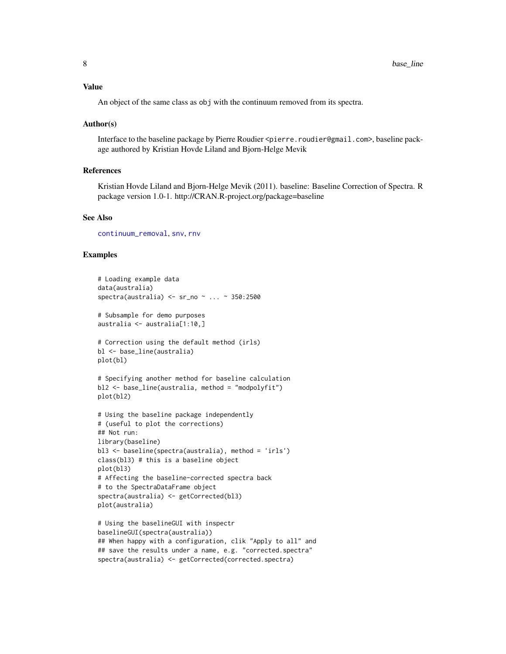<span id="page-7-0"></span>An object of the same class as obj with the continuum removed from its spectra.

#### Author(s)

Interface to the baseline package by Pierre Roudier <pierre.roudier@gmail.com>, baseline package authored by Kristian Hovde Liland and Bjorn-Helge Mevik

#### References

Kristian Hovde Liland and Bjorn-Helge Mevik (2011). baseline: Baseline Correction of Spectra. R package version 1.0-1. http://CRAN.R-project.org/package=baseline

#### See Also

[continuum\\_removal](#page-9-1), [snv](#page-30-1), [rnv](#page-30-2)

```
# Loading example data
data(australia)
spectra(australia) <- sr_no ~ ... ~ 350:2500
# Subsample for demo purposes
australia <- australia[1:10,]
# Correction using the default method (irls)
bl <- base_line(australia)
plot(bl)
# Specifying another method for baseline calculation
bl2 <- base_line(australia, method = "modpolyfit")
plot(bl2)
# Using the baseline package independently
# (useful to plot the corrections)
## Not run:
library(baseline)
bl3 <- baseline(spectra(australia), method = 'irls')
class(bl3) # this is a baseline object
plot(bl3)
# Affecting the baseline-corrected spectra back
# to the SpectraDataFrame object
spectra(australia) <- getCorrected(bl3)
plot(australia)
# Using the baselineGUI with inspectr
baselineGUI(spectra(australia))
## When happy with a configuration, clik "Apply to all" and
## save the results under a name, e.g. "corrected.spectra"
```

```
spectra(australia) <- getCorrected(corrected.spectra)
```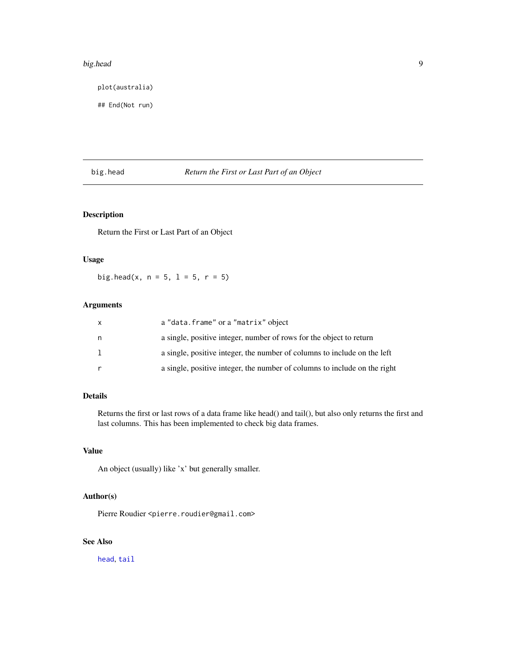#### <span id="page-8-0"></span>big.head 99

plot(australia)

## End(Not run)

## big.head *Return the First or Last Part of an Object*

## Description

Return the First or Last Part of an Object

## Usage

big.head(x,  $n = 5$ ,  $1 = 5$ ,  $r = 5$ )

## Arguments

| $\mathsf{x}$ | a "data.frame" or a "matrix" object                                       |
|--------------|---------------------------------------------------------------------------|
| n            | a single, positive integer, number of rows for the object to return       |
| 1            | a single, positive integer, the number of columns to include on the left  |
|              | a single, positive integer, the number of columns to include on the right |

## Details

Returns the first or last rows of a data frame like head() and tail(), but also only returns the first and last columns. This has been implemented to check big data frames.

#### Value

An object (usually) like 'x' but generally smaller.

#### Author(s)

Pierre Roudier <pierre.roudier@gmail.com>

## See Also

[head](#page-0-0), [tail](#page-0-0)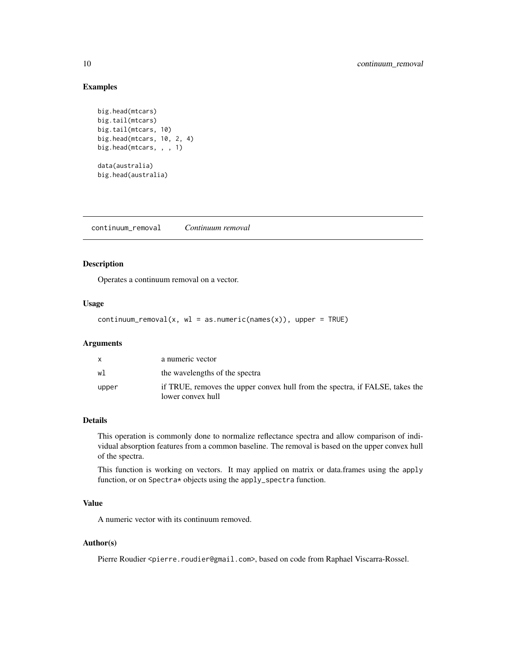## <span id="page-9-0"></span>Examples

```
big.head(mtcars)
big.tail(mtcars)
big.tail(mtcars, 10)
big.head(mtcars, 10, 2, 4)
big.head(mtcars, , , 1)
data(australia)
big.head(australia)
```
<span id="page-9-1"></span>continuum\_removal *Continuum removal*

## Description

Operates a continuum removal on a vector.

#### Usage

```
continuum_removal(x, wl = as.numeric(names(x)), upper = TRUE)
```
## Arguments

|       | a numeric vector                                                                                  |
|-------|---------------------------------------------------------------------------------------------------|
| wl    | the wavelengths of the spectra                                                                    |
| upper | if TRUE, removes the upper convex hull from the spectra, if FALSE, takes the<br>lower convex hull |

#### Details

This operation is commonly done to normalize reflectance spectra and allow comparison of individual absorption features from a common baseline. The removal is based on the upper convex hull of the spectra.

This function is working on vectors. It may applied on matrix or data.frames using the apply function, or on Spectra\* objects using the apply\_spectra function.

## Value

A numeric vector with its continuum removed.

#### Author(s)

Pierre Roudier <pierre.roudier@gmail.com>, based on code from Raphael Viscarra-Rossel.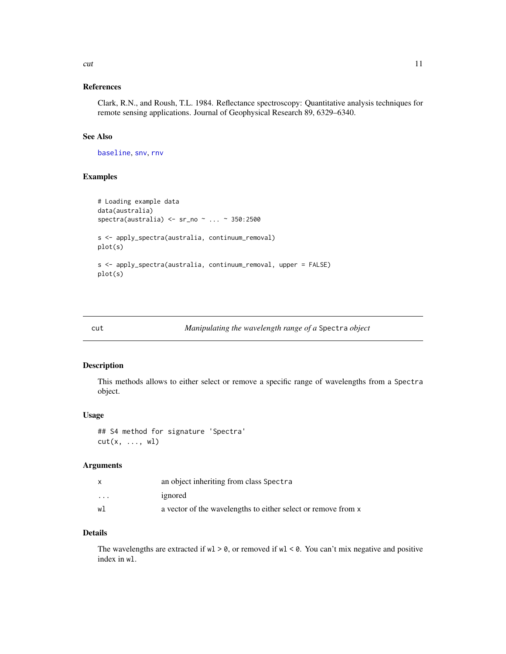#### <span id="page-10-0"></span>cut and the contract of the contract of the contract of the contract of the contract of the contract of the contract of the contract of the contract of the contract of the contract of the contract of the contract of the co

## References

Clark, R.N., and Roush, T.L. 1984. Reflectance spectroscopy: Quantitative analysis techniques for remote sensing applications. Journal of Geophysical Research 89, 6329–6340.

## See Also

[baseline](#page-0-0), [snv](#page-30-1), [rnv](#page-30-2)

## Examples

```
# Loading example data
data(australia)
spectra(australia) <- sr_no ~ ... ~ 350:2500
s <- apply_spectra(australia, continuum_removal)
plot(s)
s <- apply_spectra(australia, continuum_removal, upper = FALSE)
plot(s)
```
#### cut *Manipulating the wavelength range of a* Spectra *object*

#### Description

This methods allows to either select or remove a specific range of wavelengths from a Spectra object.

#### Usage

## S4 method for signature 'Spectra'  $cut(x, ..., wl)$ 

#### Arguments

|                         | an object inheriting from class Spectra                       |
|-------------------------|---------------------------------------------------------------|
| $\cdot$ $\cdot$ $\cdot$ | ignored                                                       |
| w1                      | a vector of the wavelengths to either select or remove from x |

## Details

The wavelengths are extracted if  $wl > 0$ , or removed if  $wl < 0$ . You can't mix negative and positive index in wl.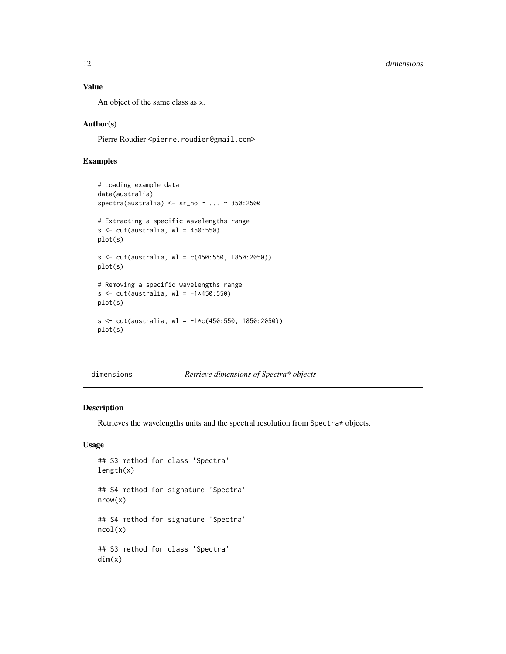## <span id="page-11-0"></span>Value

An object of the same class as x.

## Author(s)

Pierre Roudier <pierre.roudier@gmail.com>

## Examples

```
# Loading example data
data(australia)
spectra(australia) <- sr_no ~ ... ~ 350:2500
# Extracting a specific wavelengths range
s \leftarrow cut(australia, w1 = 450:550)plot(s)
s \leq cut(australia, w1 = c(450:550, 1850:2050))plot(s)
# Removing a specific wavelengths range
s \leftarrow \text{cut}(\text{australia}, \text{wl} = -1*450:550)plot(s)
s \leq cut(australia, w1 = -1*c(450:550, 1850:2050))plot(s)
```
dimensions *Retrieve dimensions of Spectra\* objects*

## Description

Retrieves the wavelengths units and the spectral resolution from Spectra\* objects.

## Usage

```
## S3 method for class 'Spectra'
length(x)
## S4 method for signature 'Spectra'
nrow(x)
## S4 method for signature 'Spectra'
ncol(x)
## S3 method for class 'Spectra'
dim(x)
```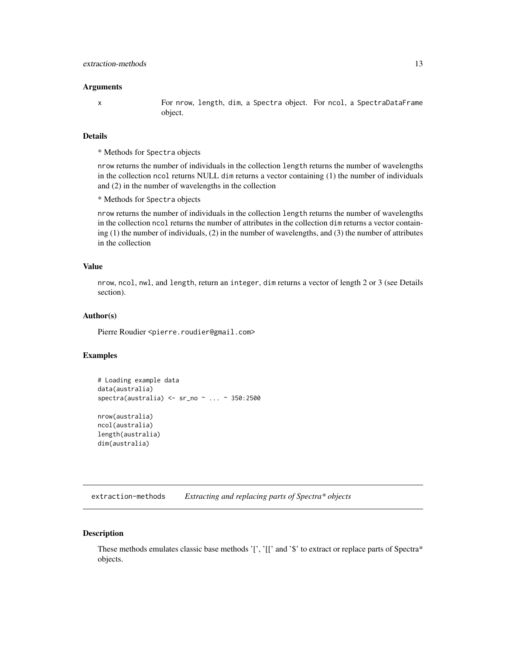#### <span id="page-12-0"></span>**Arguments**

x For nrow, length, dim, a Spectra object. For ncol, a SpectraDataFrame object.

## Details

\* Methods for Spectra objects

nrow returns the number of individuals in the collection length returns the number of wavelengths in the collection ncol returns NULL dim returns a vector containing (1) the number of individuals and (2) in the number of wavelengths in the collection

\* Methods for Spectra objects

nrow returns the number of individuals in the collection length returns the number of wavelengths in the collection ncol returns the number of attributes in the collection dim returns a vector containing (1) the number of individuals, (2) in the number of wavelengths, and (3) the number of attributes in the collection

## Value

nrow, ncol, nwl, and length, return an integer, dim returns a vector of length 2 or 3 (see Details section).

#### Author(s)

Pierre Roudier <pierre.roudier@gmail.com>

#### Examples

```
# Loading example data
data(australia)
spectra(australia) <- sr_no ~ ... ~ 350:2500
nrow(australia)
ncol(australia)
length(australia)
dim(australia)
```
extraction-methods *Extracting and replacing parts of Spectra\* objects*

#### Description

These methods emulates classic base methods '[', '[[' and '\$' to extract or replace parts of Spectra\* objects.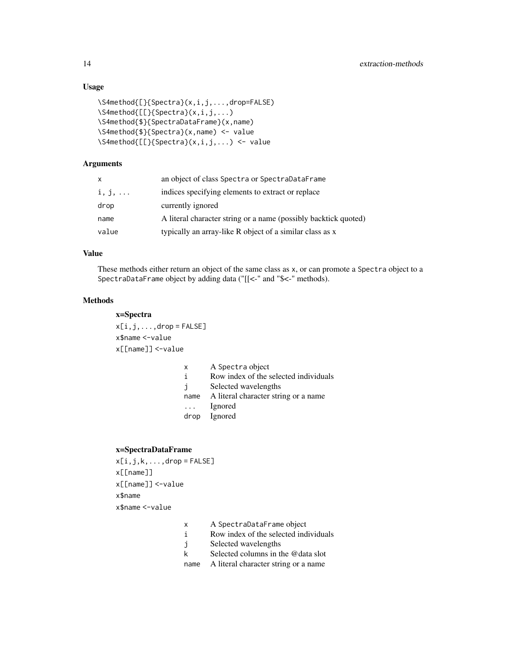## Usage

```
\S4method{[}{Spectra}(x,i,j,...,drop=FALSE)
\S4method{[[}{Spectra}(x,i,j,...)
\S4method{$}{SpectraDataFrame}(x,name)
\S4method{$}{Spectra}(x,name) <- value
\S4method{[[}{Spectra}(x,i,j,...) <- value
```
## Arguments

| X              | an object of class Spectra or SpectraDataFrame                  |
|----------------|-----------------------------------------------------------------|
| $i, j, \ldots$ | indices specifying elements to extract or replace               |
| drop           | currently ignored                                               |
| name           | A literal character string or a name (possibly backtick quoted) |
| value          | typically an array-like R object of a similar class as x        |

## Value

These methods either return an object of the same class as x, or can promote a Spectra object to a SpectraDataFrame object by adding data ("[[<-" and "\$<-" methods).

## Methods

x=Spectra  $x[i,j,...,drop = FALSE]$ x\$name <-value x[[name]] <-value

| x                       | A Spectra object                      |
|-------------------------|---------------------------------------|
| i                       | Row index of the selected individuals |
| j.                      | Selected wavelengths                  |
| name                    | A literal character string or a name  |
| $\cdot$ $\cdot$ $\cdot$ | Ignored                               |
|                         | drop Ignored                          |
|                         |                                       |

## x=SpectraDataFrame

```
x[i,j,k,...,drop = FALSE]x[[name]]
x[[name]] <-value
x$name
x$name <-value
```
- x A SpectraDataFrame object
- i Row index of the selected individuals
- j Selected wavelengths
- k Selected columns in the @data slot
- name A literal character string or a name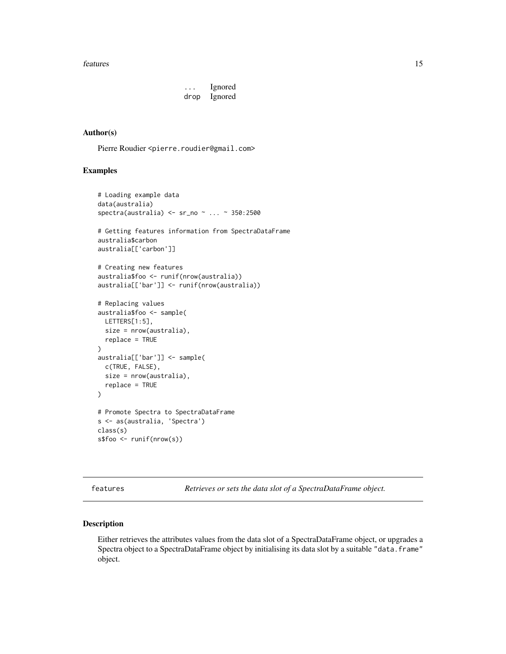#### <span id="page-14-0"></span>features and the state of the state of the state of the state of the state of the state of the state of the state of the state of the state of the state of the state of the state of the state of the state of the state of t

... Ignored drop Ignored

#### Author(s)

Pierre Roudier <pierre.roudier@gmail.com>

## Examples

```
# Loading example data
data(australia)
spectra(australia) <- sr_no ~ ... ~ 350:2500
# Getting features information from SpectraDataFrame
australia$carbon
australia[['carbon']]
# Creating new features
australia$foo <- runif(nrow(australia))
australia[['bar']] <- runif(nrow(australia))
# Replacing values
australia$foo <- sample(
  LETTERS[1:5],
  size = nrow(australia),
  replace = TRUE
\mathcal{L}australia[['bar']] <- sample(
  c(TRUE, FALSE),
  size = nrow(australia),
  replace = TRUE
\lambda# Promote Spectra to SpectraDataFrame
s <- as(australia, 'Spectra')
class(s)
s$foo <- runif(nrow(s))
```
features *Retrieves or sets the data slot of a SpectraDataFrame object.*

#### Description

Either retrieves the attributes values from the data slot of a SpectraDataFrame object, or upgrades a Spectra object to a SpectraDataFrame object by initialising its data slot by a suitable "data.frame" object.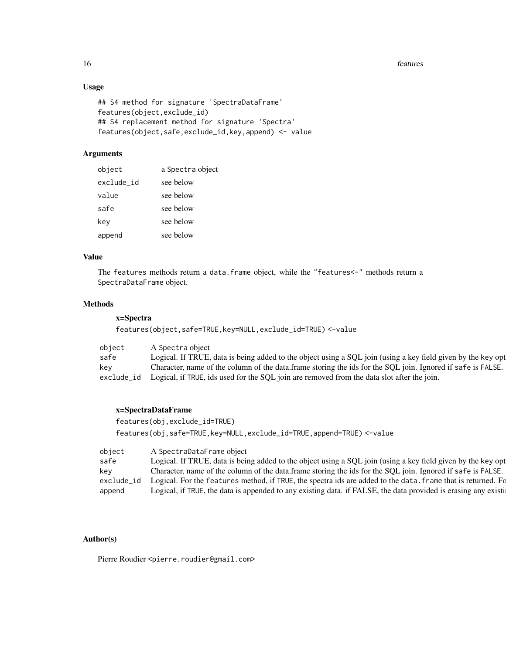## Usage

```
## S4 method for signature 'SpectraDataFrame'
features(object,exclude_id)
## S4 replacement method for signature 'Spectra'
features(object,safe,exclude_id,key,append) <- value
```
## Arguments

| object     | a Spectra object |
|------------|------------------|
| exclude_id | see below        |
| value      | see below        |
| safe       | see below        |
| key        | see below        |
| append     | see below        |

#### Value

The features methods return a data.frame object, while the "features<-" methods return a SpectraDataFrame object.

## Methods

## x=Spectra

features(object,safe=TRUE,key=NULL,exclude\_id=TRUE) <-value

| object     | A Spectra object                                                                                             |
|------------|--------------------------------------------------------------------------------------------------------------|
| safe       | Logical. If TRUE, data is being added to the object using a SQL join (using a key field given by the key opt |
| kev        | Character, name of the column of the data.frame storing the ids for the SQL join. Ignored if safe is FALSE.  |
| exclude_id | Logical, if TRUE, ids used for the SQL join are removed from the data slot after the join.                   |

#### x=SpectraDataFrame

```
features(obj,exclude_id=TRUE)
features(obj,safe=TRUE,key=NULL,exclude_id=TRUE,append=TRUE) <-value
```

| object     | A SpectraDataFrame object                                                                                      |
|------------|----------------------------------------------------------------------------------------------------------------|
| safe       | Logical. If TRUE, data is being added to the object using a SQL join (using a key field given by the key opt   |
| key        | Character, name of the column of the data.frame storing the ids for the SQL join. Ignored if safe is FALSE.    |
| exclude_id | Logical. For the features method, if TRUE, the spectra ids are added to the data. frame that is returned. For  |
| append     | Logical, if TRUE, the data is appended to any existing data. if FALSE, the data provided is erasing any existi |

## Author(s)

Pierre Roudier <pierre.roudier@gmail.com>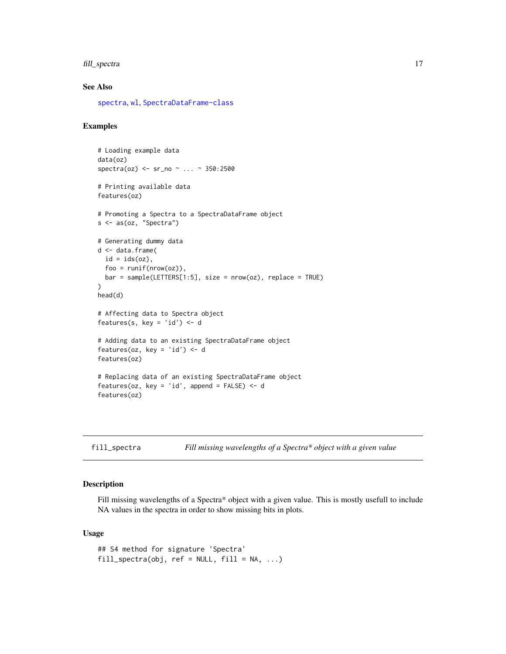## <span id="page-16-0"></span>fill\_spectra 17

## See Also

[spectra](#page-33-1), [wl](#page-41-1), [SpectraDataFrame-class](#page-32-1)

#### Examples

```
# Loading example data
data(oz)
spectra(oz) <- sr_no ~ ... ~ 350:2500
# Printing available data
features(oz)
# Promoting a Spectra to a SpectraDataFrame object
s <- as(oz, "Spectra")
# Generating dummy data
d <- data.frame(
 id = ids(oz),
  foo = runif(nrow(oz)),bar = sample(LETTERS[1:5], size = nrow(oz), replace = TRUE)
\mathcal{L}head(d)
# Affecting data to Spectra object
features(s, key = 'id') <- d
# Adding data to an existing SpectraDataFrame object
features(oz, key = 'id') <- d
features(oz)
# Replacing data of an existing SpectraDataFrame object
features(oz, key = 'id', append = FALSE) <- d
features(oz)
```

| fill_spectra | Fill missing wavelengths of a Spectra* object with a given value |  |  |
|--------------|------------------------------------------------------------------|--|--|
|              |                                                                  |  |  |

#### Description

Fill missing wavelengths of a Spectra\* object with a given value. This is mostly usefull to include NA values in the spectra in order to show missing bits in plots.

#### Usage

```
## S4 method for signature 'Spectra'
fill\_spectra(obj, ref = NULL, fill = NA, ...)
```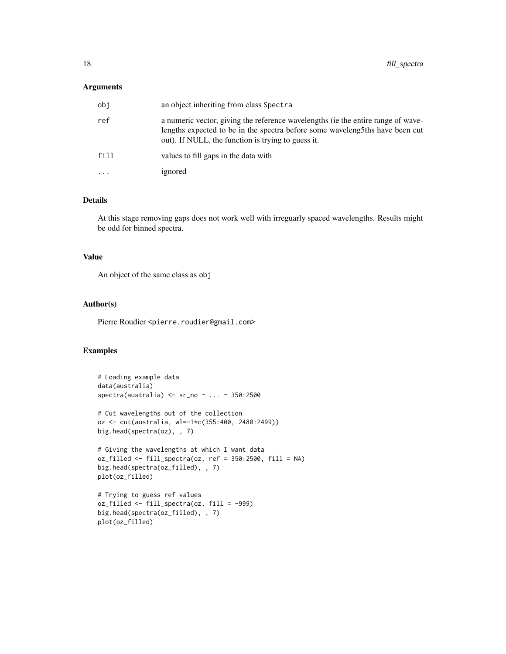## Arguments

| obj       | an object inheriting from class Spectra                                                                                                                                                                                |
|-----------|------------------------------------------------------------------------------------------------------------------------------------------------------------------------------------------------------------------------|
| ref       | a numeric vector, giving the reference wavelengths (ie the entire range of wave-<br>lengths expected to be in the spectra before some waveleng5ths have been cut<br>out). If NULL, the function is trying to guess it. |
| fill      | values to fill gaps in the data with                                                                                                                                                                                   |
| $\ddotsc$ | ignored                                                                                                                                                                                                                |

## Details

At this stage removing gaps does not work well with irreguarly spaced wavelengths. Results might be odd for binned spectra.

#### Value

An object of the same class as obj

## Author(s)

Pierre Roudier <pierre.roudier@gmail.com>

```
# Loading example data
data(australia)
spectra(australia) <- sr_no ~ ... ~ 350:2500
# Cut wavelengths out of the collection
oz <- cut(australia, wl=-1*c(355:400, 2480:2499))
big.head(spectra(oz), , 7)
# Giving the wavelengths at which I want data
oz_filled <- fill_spectra(oz, ref = 350:2500, fill = NA)
big.head(spectra(oz_filled), , 7)
plot(oz_filled)
# Trying to guess ref values
oz_filled <- fill_spectra(oz, fill = -999)
big.head(spectra(oz_filled), , 7)
plot(oz_filled)
```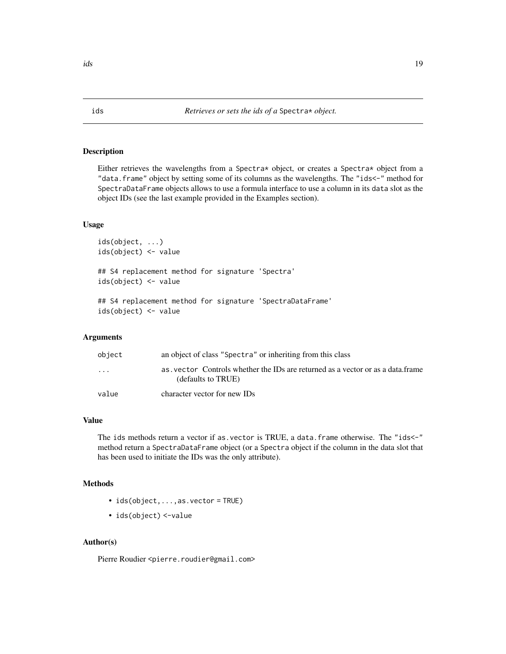#### <span id="page-18-0"></span>Description

Either retrieves the wavelengths from a Spectra\* object, or creates a Spectra\* object from a "data.frame" object by setting some of its columns as the wavelengths. The "ids<-" method for SpectraDataFrame objects allows to use a formula interface to use a column in its data slot as the object IDs (see the last example provided in the Examples section).

#### Usage

```
ids(object, ...)
ids(object) <- value
## S4 replacement method for signature 'Spectra'
ids(object) <- value
## S4 replacement method for signature 'SpectraDataFrame'
```
ids(object) <- value

#### Arguments

| object                  | an object of class "Spectra" or inheriting from this class                                            |
|-------------------------|-------------------------------------------------------------------------------------------------------|
| $\cdot$ $\cdot$ $\cdot$ | as, vector Controls whether the IDs are returned as a vector or as a data frame<br>(defaults to TRUE) |
| value                   | character vector for new IDs                                                                          |

#### Value

The ids methods return a vector if as. vector is TRUE, a data. frame otherwise. The "ids<-" method return a SpectraDataFrame object (or a Spectra object if the column in the data slot that has been used to initiate the IDs was the only attribute).

#### Methods

- ids(object,...,as.vector = TRUE)
- ids(object) <-value

#### Author(s)

Pierre Roudier <pierre.roudier@gmail.com>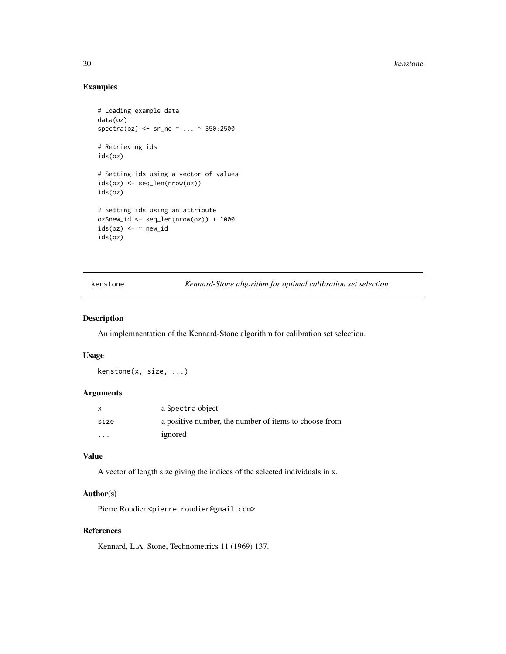20 kenstone

## Examples

```
# Loading example data
data(oz)
spectra(oz) <- sr_no ~ ... ~ 350:2500
# Retrieving ids
ids(oz)
# Setting ids using a vector of values
ids(oz) <- seq_len(nrow(oz))
ids(oz)
# Setting ids using an attribute
oz$new_id <- seq_len(nrow(oz)) + 1000
ids(oz) \leq - \sim new_idids(oz)
```
kenstone *Kennard-Stone algorithm for optimal calibration set selection.*

## Description

An implemnentation of the Kennard-Stone algorithm for calibration set selection.

#### Usage

kenstone(x, size, ...)

## Arguments

|                         | a Spectra object                                      |
|-------------------------|-------------------------------------------------------|
| size                    | a positive number, the number of items to choose from |
| $\cdot$ $\cdot$ $\cdot$ | ignored                                               |

## Value

A vector of length size giving the indices of the selected individuals in x.

## Author(s)

Pierre Roudier <pierre.roudier@gmail.com>

## References

Kennard, L.A. Stone, Technometrics 11 (1969) 137.

<span id="page-19-0"></span>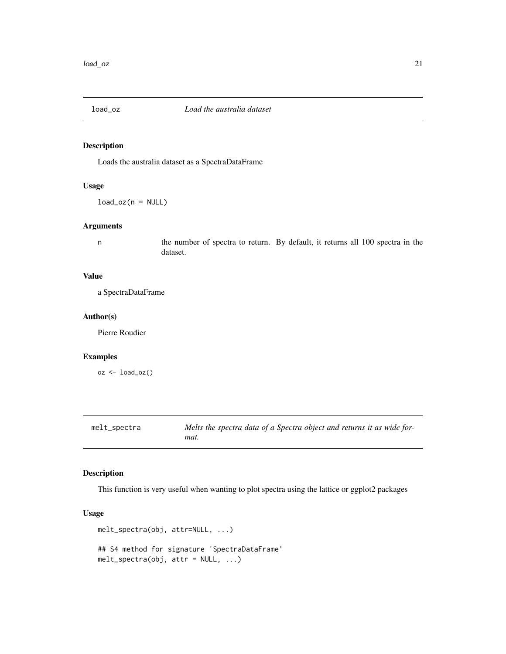<span id="page-20-0"></span>

## Description

Loads the australia dataset as a SpectraDataFrame

## Usage

 $load_ox(n = NULL)$ 

#### Arguments

n the number of spectra to return. By default, it returns all 100 spectra in the dataset.

## Value

a SpectraDataFrame

#### Author(s)

Pierre Roudier

## Examples

 $oz \leftarrow load_oz()$ 

<span id="page-20-1"></span>

| melt_spectra | Melts the spectra data of a Spectra object and returns it as wide for- |
|--------------|------------------------------------------------------------------------|
|              | mat.                                                                   |

## Description

This function is very useful when wanting to plot spectra using the lattice or ggplot2 packages

## Usage

```
melt_spectra(obj, attr=NULL, ...)
## S4 method for signature 'SpectraDataFrame'
melt_spectra(obj, attr = NULL, ...)
```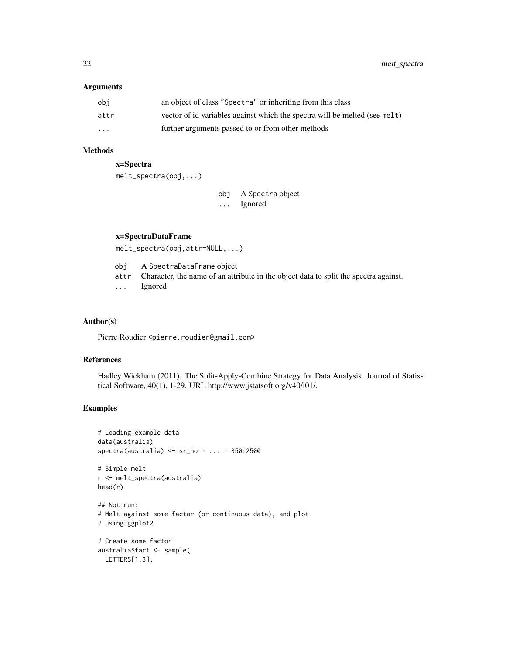#### Arguments

| obi      | an object of class "Spectra" or inheriting from this class                 |
|----------|----------------------------------------------------------------------------|
| attr     | vector of id variables against which the spectra will be melted (see melt) |
| $\cdots$ | further arguments passed to or from other methods                          |

#### Methods

x=Spectra

melt\_spectra(obj,...)

obj A Spectra object ... Ignored

## x=SpectraDataFrame

melt\_spectra(obj,attr=NULL,...)

obj A SpectraDataFrame object

- attr Character, the name of an attribute in the object data to split the spectra against.
- ... Ignored

## Author(s)

Pierre Roudier <pierre.roudier@gmail.com>

### References

Hadley Wickham (2011). The Split-Apply-Combine Strategy for Data Analysis. Journal of Statistical Software, 40(1), 1-29. URL http://www.jstatsoft.org/v40/i01/.

```
# Loading example data
data(australia)
spectra(australia) <- sr_no ~ ... ~ 350:2500
# Simple melt
r <- melt_spectra(australia)
head(r)
## Not run:
# Melt against some factor (or continuous data), and plot
# using ggplot2
# Create some factor
australia$fact <- sample(
 LETTERS[1:3],
```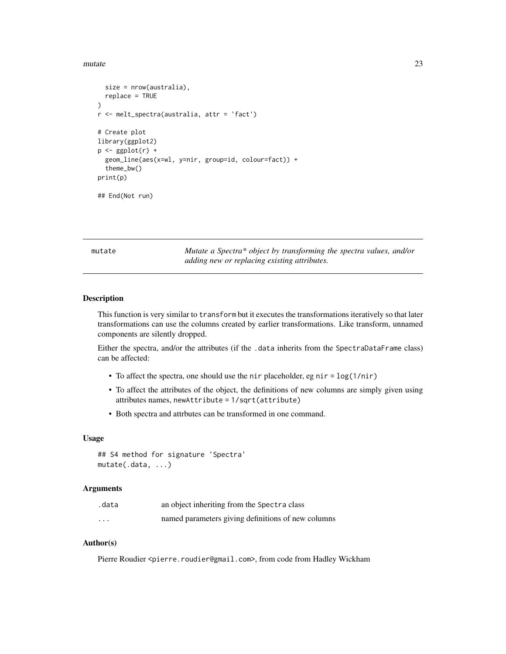<span id="page-22-0"></span>mutate 23

```
size = nrow(australia),
 replace = TRUE
)
r <- melt_spectra(australia, attr = 'fact')
# Create plot
library(ggplot2)
p \leftarrow ggplot(r) +
 geom_line(aes(x=wl, y=nir, group=id, colour=fact)) +
 theme_bw()
print(p)
## End(Not run)
```
<span id="page-22-1"></span>mutate *Mutate a Spectra\* object by transforming the spectra values, and/or adding new or replacing existing attributes.*

#### Description

This function is very similar to transform but it executes the transformations iteratively so that later transformations can use the columns created by earlier transformations. Like transform, unnamed components are silently dropped.

Either the spectra, and/or the attributes (if the .data inherits from the SpectraDataFrame class) can be affected:

- To affect the spectra, one should use the nir placeholder, eg nir = log(1/nir)
- To affect the attributes of the object, the definitions of new columns are simply given using attributes names, newAttribute = 1/sqrt(attribute)
- Both spectra and attrbutes can be transformed in one command.

#### Usage

```
## S4 method for signature 'Spectra'
mutate(.data, ...)
```
## Arguments

| .data    | an object inheriting from the Spectra class        |
|----------|----------------------------------------------------|
| $\cdots$ | named parameters giving definitions of new columns |

#### Author(s)

Pierre Roudier <pierre.roudier@gmail.com>, from code from Hadley Wickham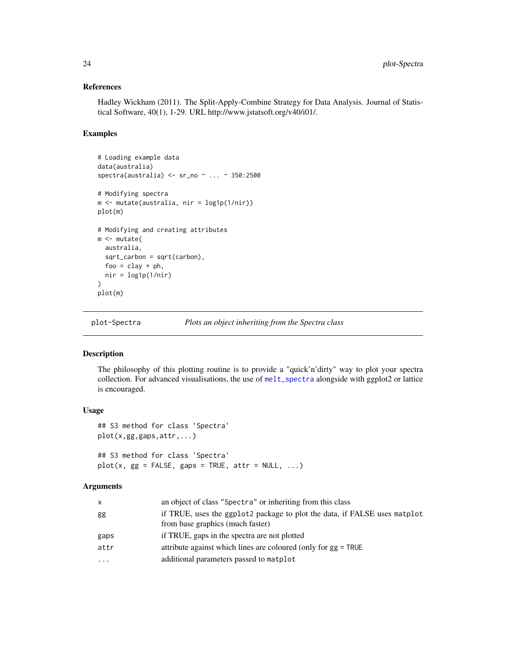#### References

Hadley Wickham (2011). The Split-Apply-Combine Strategy for Data Analysis. Journal of Statistical Software, 40(1), 1-29. URL http://www.jstatsoft.org/v40/i01/.

#### Examples

```
# Loading example data
data(australia)
spectra(australia) <- sr_no ~ ... ~ 350:2500
# Modifying spectra
m <- mutate(australia, nir = log1p(1/nir))
plot(m)
# Modifying and creating attributes
m <- mutate(
  australia,
  sqrt_carbon = sqrt(carbon),
  foo = clay + ph,nir = log1p(1/nir))
plot(m)
```
plot-Spectra *Plots an object inheriting from the Spectra class*

## Description

The philosophy of this plotting routine is to provide a "quick'n'dirty" way to plot your spectra collection. For advanced visualisations, the use of [melt\\_spectra](#page-20-1) alongside with ggplot2 or lattice is encouraged.

#### Usage

```
## S3 method for class 'Spectra'
plot(x,gg,gaps,attr,...)
## S3 method for class 'Spectra'
plot(x, gg = FALSE, gaps = TRUE, attr = NULL, ...)
```

| x        | an object of class "Spectra" or inheriting from this class                |
|----------|---------------------------------------------------------------------------|
| gg       | if TRUE, uses the ggplot2 package to plot the data, if FALSE uses matplot |
|          | from base graphics (much faster)                                          |
| gaps     | if TRUE, gaps in the spectra are not plotted                              |
| attr     | attribute against which lines are coloured (only for $gg = TRUE$          |
| $\cdots$ | additional parameters passed to matplot                                   |

<span id="page-23-0"></span>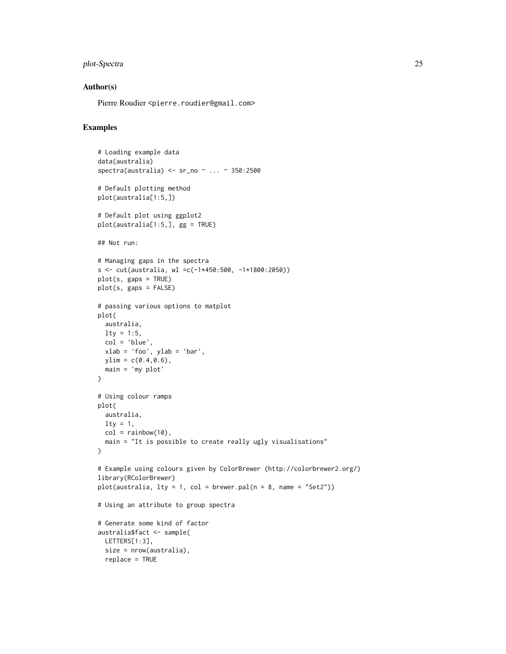## plot-Spectra 25

#### Author(s)

Pierre Roudier <pierre.roudier@gmail.com>

```
# Loading example data
data(australia)
spectra(australia) <- sr_no ~ ... ~ 350:2500
# Default plotting method
plot(australia[1:5,])
# Default plot using ggplot2
plot(australia[1:5,], gg = TRUE)
## Not run:
# Managing gaps in the spectra
s <- cut(australia, wl =c(-1*450:500, -1*1800:2050))
plot(s, gaps = TRUE)plot(s, gaps = FALSE)
# passing various options to matplot
plot(
 australia,
 lty = 1:5,
 col = 'blue'.xlab = 'foo', ylab = 'bar',ylim = c(0.4, 0.6),
 main = 'my plot'
\lambda# Using colour ramps
plot(
 australia,
 \frac{1}{1}col = rainbow(10),
  main = "It is possible to create really ugly visualisations"
\lambda# Example using colours given by ColorBrewer (http://colorbrewer2.org/)
library(RColorBrewer)
plot(australia, lty = 1, col = brewer.pal(n = 8, name = "Set2"))# Using an attribute to group spectra
# Generate some kind of factor
australia$fact <- sample(
 LETTERS[1:3],
 size = nrow(australia),
  replace = TRUE
```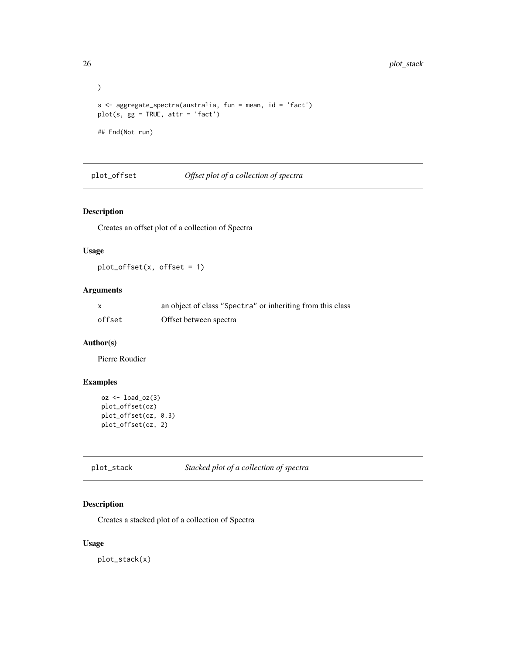```
)
s <- aggregate_spectra(australia, fun = mean, id = 'fact')
plot(s, gg = TRUE, attr = 'fact')
## End(Not run)
```
plot\_offset *Offset plot of a collection of spectra*

#### Description

Creates an offset plot of a collection of Spectra

## Usage

plot\_offset(x, offset = 1)

## Arguments

| X      | an object of class "Spectra" or inheriting from this class |
|--------|------------------------------------------------------------|
| offset | Offset between spectra                                     |

## Author(s)

Pierre Roudier

## Examples

```
oz <- load_oz(3)
plot_offset(oz)
plot_offset(oz, 0.3)
plot_offset(oz, 2)
```
plot\_stack *Stacked plot of a collection of spectra*

## Description

Creates a stacked plot of a collection of Spectra

#### Usage

plot\_stack(x)

<span id="page-25-0"></span>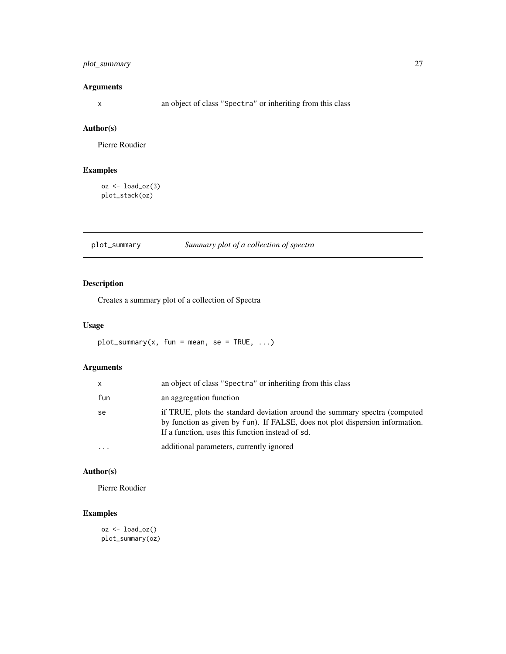## <span id="page-26-0"></span>plot\_summary 27

## Arguments

x an object of class "Spectra" or inheriting from this class

## Author(s)

Pierre Roudier

## Examples

```
oz <- load_oz(3)
plot_stack(oz)
```
## plot\_summary *Summary plot of a collection of spectra*

## Description

Creates a summary plot of a collection of Spectra

## Usage

 $plot\_summary(x, fun = mean, se = TRUE, ...)$ 

## Arguments

| x         | an object of class "Spectra" or inheriting from this class                                                                                                                                                      |
|-----------|-----------------------------------------------------------------------------------------------------------------------------------------------------------------------------------------------------------------|
| fun       | an aggregation function                                                                                                                                                                                         |
| se        | if TRUE, plots the standard deviation around the summary spectra (computed<br>by function as given by fun). If FALSE, does not plot dispersion information.<br>If a function, uses this function instead of sd. |
| $\ddotsc$ | additional parameters, currently ignored                                                                                                                                                                        |

## Author(s)

Pierre Roudier

## Examples

oz <- load\_oz() plot\_summary(oz)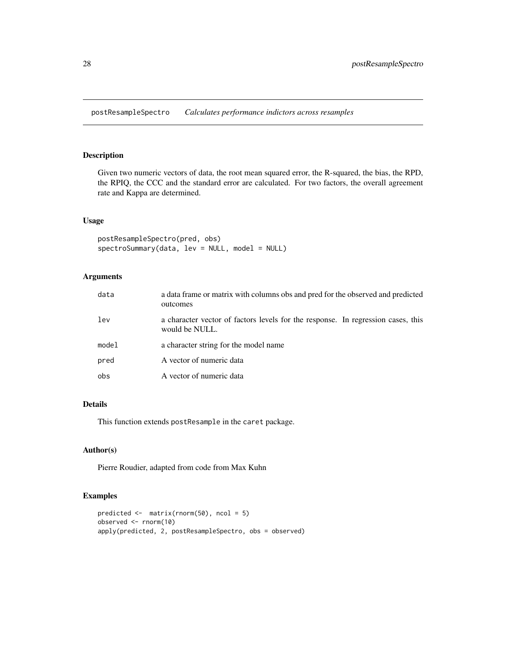<span id="page-27-0"></span>postResampleSpectro *Calculates performance indictors across resamples*

#### Description

Given two numeric vectors of data, the root mean squared error, the R-squared, the bias, the RPD, the RPIQ, the CCC and the standard error are calculated. For two factors, the overall agreement rate and Kappa are determined.

#### Usage

postResampleSpectro(pred, obs) spectroSummary(data, lev = NULL, model = NULL)

## Arguments

| data  | a data frame or matrix with columns obs and pred for the observed and predicted<br>outcomes        |
|-------|----------------------------------------------------------------------------------------------------|
| lev   | a character vector of factors levels for the response. In regression cases, this<br>would be NULL. |
| model | a character string for the model name                                                              |
| pred  | A vector of numeric data                                                                           |
| obs   | A vector of numeric data                                                                           |

## Details

This function extends postResample in the caret package.

## Author(s)

Pierre Roudier, adapted from code from Max Kuhn

```
predicted <- matrix(rnorm(50), ncol = 5)
observed <- rnorm(10)
apply(predicted, 2, postResampleSpectro, obs = observed)
```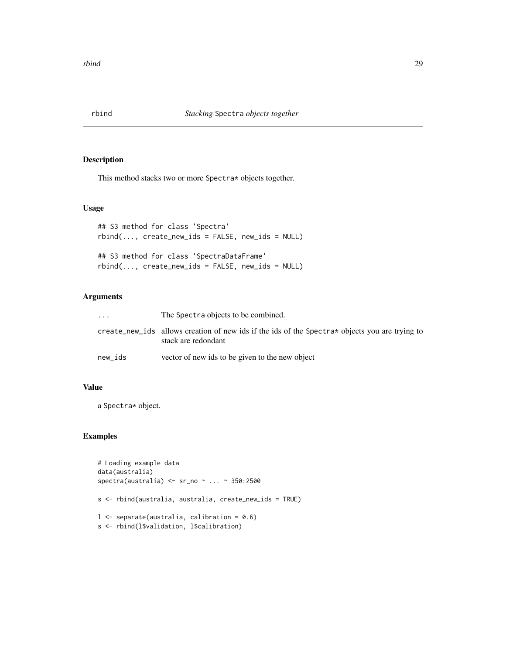<span id="page-28-0"></span>

## Description

This method stacks two or more Spectra\* objects together.

## Usage

```
## S3 method for class 'Spectra'
rbind(..., create_new\_ids = FALSE, new\_ids = NULL)## S3 method for class 'SpectraDataFrame'
rbind(..., create_new\_ids = FALSE, new\_ids = NULL)
```
## Arguments

| $\ddotsc$ | The Spectra objects to be combined.                                                                                   |
|-----------|-----------------------------------------------------------------------------------------------------------------------|
|           | create_new_ids allows creation of new ids if the ids of the Spectra* objects you are trying to<br>stack are redondant |
| new ids   | vector of new ids to be given to the new object                                                                       |

#### Value

a Spectra\* object.

```
# Loading example data
data(australia)
spectra(australia) <- sr_no ~ ... ~ 350:2500
s <- rbind(australia, australia, create_new_ids = TRUE)
l <- separate(australia, calibration = 0.6)
s <- rbind(l$validation, l$calibration)
```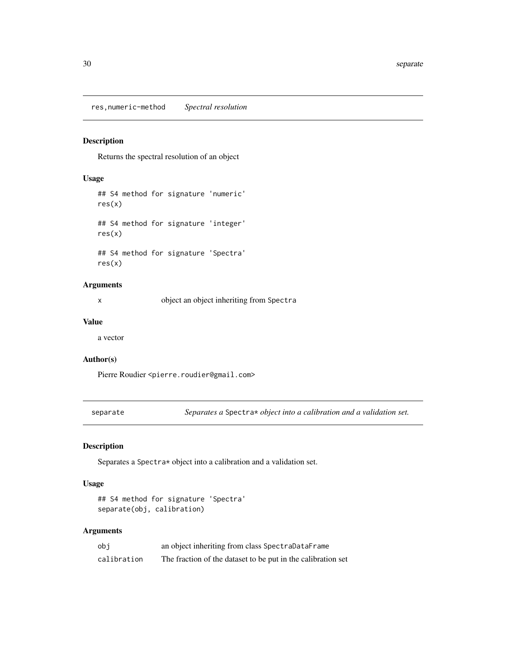<span id="page-29-0"></span>res,numeric-method *Spectral resolution*

## Description

Returns the spectral resolution of an object

## Usage

```
## S4 method for signature 'numeric'
res(x)
## S4 method for signature 'integer'
res(x)
## S4 method for signature 'Spectra'
res(x)
```
## Arguments

x object an object inheriting from Spectra

## Value

a vector

#### Author(s)

Pierre Roudier <pierre.roudier@gmail.com>

separate *Separates a* Spectra\* *object into a calibration and a validation set.*

## Description

Separates a Spectra\* object into a calibration and a validation set.

#### Usage

```
## S4 method for signature 'Spectra'
separate(obj, calibration)
```

| obi         | an object inheriting from class SpectraDataFrame             |
|-------------|--------------------------------------------------------------|
| calibration | The fraction of the dataset to be put in the calibration set |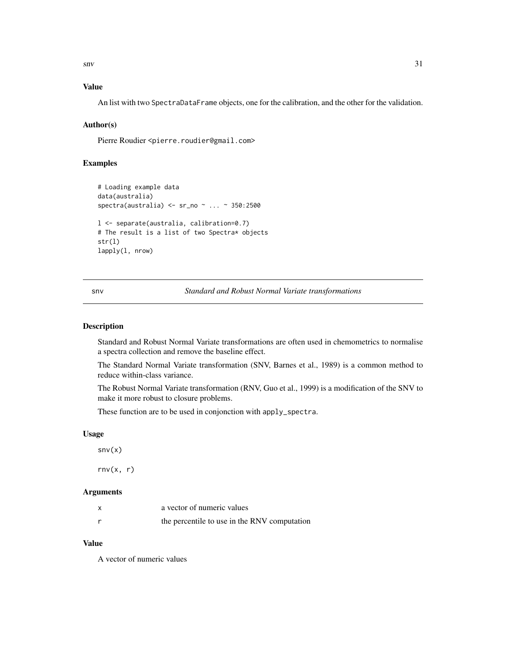<span id="page-30-0"></span> $\mathbf{s}$ nv  $\mathbf{s}$ 1

## Value

An list with two SpectraDataFrame objects, one for the calibration, and the other for the validation.

#### Author(s)

Pierre Roudier <pierre.roudier@gmail.com>

## Examples

```
# Loading example data
data(australia)
spectra(australia) <- sr_no ~ ... ~ 350:2500
l <- separate(australia, calibration=0.7)
# The result is a list of two Spectra* objects
str(l)
lapply(l, nrow)
```
<span id="page-30-1"></span>snv *Standard and Robust Normal Variate transformations*

## <span id="page-30-2"></span>Description

Standard and Robust Normal Variate transformations are often used in chemometrics to normalise a spectra collection and remove the baseline effect.

The Standard Normal Variate transformation (SNV, Barnes et al., 1989) is a common method to reduce within-class variance.

The Robust Normal Variate transformation (RNV, Guo et al., 1999) is a modification of the SNV to make it more robust to closure problems.

These function are to be used in conjonction with apply\_spectra.

#### Usage

 $snv(x)$ 

 $rnv(x, r)$ 

#### Arguments

| X | a vector of numeric values                   |
|---|----------------------------------------------|
|   | the percentile to use in the RNV computation |

## Value

A vector of numeric values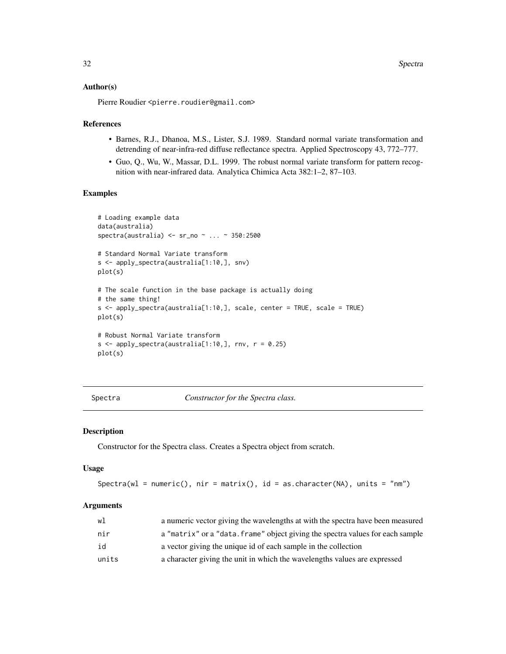#### <span id="page-31-0"></span>Author(s)

Pierre Roudier <pierre.roudier@gmail.com>

#### References

- Barnes, R.J., Dhanoa, M.S., Lister, S.J. 1989. Standard normal variate transformation and detrending of near-infra-red diffuse reflectance spectra. Applied Spectroscopy 43, 772–777.
- Guo, Q., Wu, W., Massar, D.L. 1999. The robust normal variate transform for pattern recognition with near-infrared data. Analytica Chimica Acta 382:1–2, 87–103.

#### Examples

```
# Loading example data
data(australia)
spectra(australia) <- sr_no ~ ... ~ 350:2500
# Standard Normal Variate transform
s <- apply_spectra(australia[1:10,], snv)
plot(s)
# The scale function in the base package is actually doing
# the same thing!
s <- apply_spectra(australia[1:10,], scale, center = TRUE, scale = TRUE)
plot(s)
# Robust Normal Variate transform
s \le apply_spectra(australia[1:10,], rnv, r = 0.25)
plot(s)
```
Spectra *Constructor for the Spectra class.*

#### Description

Constructor for the Spectra class. Creates a Spectra object from scratch.

#### Usage

Spectra(wl = numeric(), nir = matrix(), id = as.character(NA), units = "nm")

| wl    | a numeric vector giving the wavelengths at with the spectra have been measured |
|-------|--------------------------------------------------------------------------------|
| nir   | a "matrix" or a "data. frame" object giving the spectra values for each sample |
| id    | a vector giving the unique id of each sample in the collection                 |
| units | a character giving the unit in which the wavelengths values are expressed      |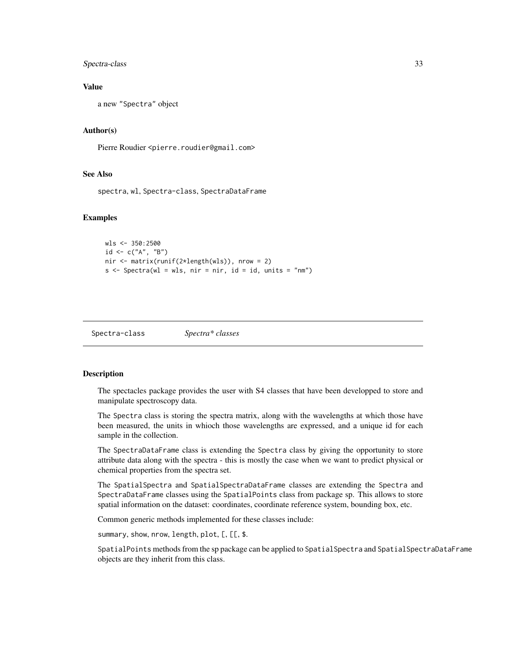## <span id="page-32-0"></span>Spectra-class 33

#### Value

a new "Spectra" object

#### Author(s)

Pierre Roudier <pierre.roudier@gmail.com>

#### See Also

spectra, wl, Spectra-class, SpectraDataFrame

#### Examples

```
wls <- 350:2500
id <- c("A", "B")nir <- matrix(runif(2*length(wls)), nrow = 2)
s \leq Spectra(wl = wls, nir = nir, id = id, units = "nm")
```
<span id="page-32-2"></span>Spectra-class *Spectra\* classes*

#### <span id="page-32-1"></span>Description

The spectacles package provides the user with S4 classes that have been developped to store and manipulate spectroscopy data.

The Spectra class is storing the spectra matrix, along with the wavelengths at which those have been measured, the units in whioch those wavelengths are expressed, and a unique id for each sample in the collection.

The SpectraDataFrame class is extending the Spectra class by giving the opportunity to store attribute data along with the spectra - this is mostly the case when we want to predict physical or chemical properties from the spectra set.

The SpatialSpectra and SpatialSpectraDataFrame classes are extending the Spectra and SpectraDataFrame classes using the SpatialPoints class from package sp. This allows to store spatial information on the dataset: coordinates, coordinate reference system, bounding box, etc.

Common generic methods implemented for these classes include:

summary, show, nrow, length, plot, [, [[, \$.

SpatialPoints methods from the sp package can be applied to SpatialSpectra and SpatialSpectraDataFrame objects are they inherit from this class.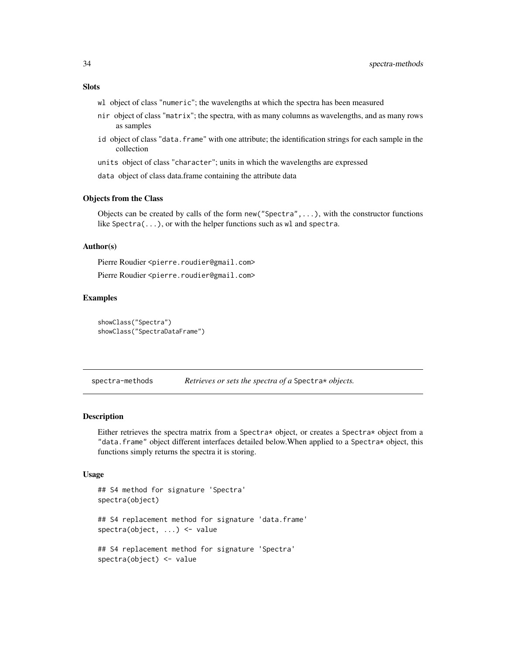## <span id="page-33-0"></span>**Slots**

- wl object of class "numeric"; the wavelengths at which the spectra has been measured
- nir object of class "matrix"; the spectra, with as many columns as wavelengths, and as many rows as samples
- id object of class "data. frame" with one attribute; the identification strings for each sample in the collection

units object of class "character"; units in which the wavelengths are expressed

data object of class data.frame containing the attribute data

#### Objects from the Class

Objects can be created by calls of the form  $new("Spectra", \ldots)$ , with the constructor functions like Spectra( $\ldots$ ), or with the helper functions such as wl and spectra.

#### Author(s)

Pierre Roudier <pierre.roudier@gmail.com>

Pierre Roudier <pierre.roudier@gmail.com>

#### Examples

```
showClass("Spectra")
showClass("SpectraDataFrame")
```
spectra-methods *Retrieves or sets the spectra of a* Spectra\* *objects.*

#### <span id="page-33-1"></span>Description

Either retrieves the spectra matrix from a Spectra\* object, or creates a Spectra\* object from a "data.frame" object different interfaces detailed below.When applied to a Spectra\* object, this functions simply returns the spectra it is storing.

#### Usage

```
## S4 method for signature 'Spectra'
spectra(object)
## S4 replacement method for signature 'data.frame'
spectra(object, ...) <- value
## S4 replacement method for signature 'Spectra'
spectra(object) <- value
```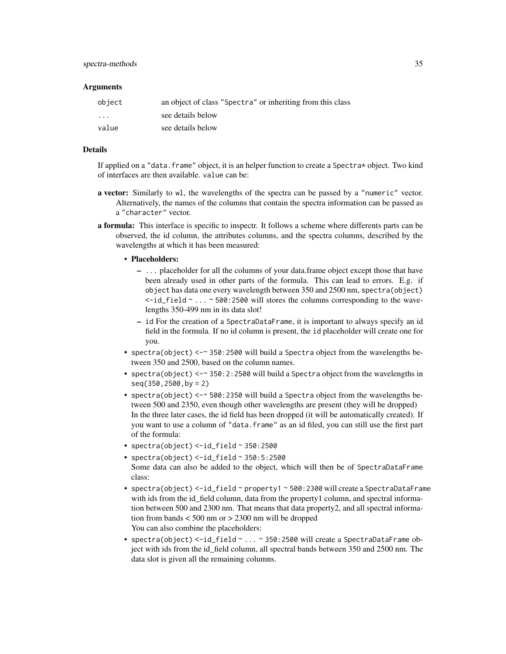#### **Arguments**

| object                  | an object of class "Spectra" or inheriting from this class |
|-------------------------|------------------------------------------------------------|
| $\cdot$ $\cdot$ $\cdot$ | see details below                                          |
| value                   | see details below                                          |

## Details

If applied on a "data. frame" object, it is an helper function to create a Spectra $\star$  object. Two kind of interfaces are then available. value can be:

- a vector: Similarly to wl, the wavelengths of the spectra can be passed by a "numeric" vector. Alternatively, the names of the columns that contain the spectra information can be passed as a "character" vector.
- a formula: This interface is specific to inspectr. It follows a scheme where differents parts can be observed, the id column, the attributes columns, and the spectra columns, described by the wavelengths at which it has been measured:

#### • Placeholders:

- ... placeholder for all the columns of your data.frame object except those that have been already used in other parts of the formula. This can lead to errors. E.g. if object has data one every wavelength between 350 and 2500 nm, spectra(object) <-id\_field ~ ... ~ 500:2500 will stores the columns corresponding to the wavelengths 350-499 nm in its data slot!
- id For the creation of a SpectraDataFrame, it is important to always specify an id field in the formula. If no id column is present, the id placeholder will create one for you.
- spectra(object) <-~ 350:2500 will build a Spectra object from the wavelengths between 350 and 2500, based on the column names.
- spectra(object)  $\leq -\infty$  350:2:2500 will build a Spectra object from the wavelengths in seq(350,2500,by = 2)
- spectra(object) <-~ 500:2350 will build a Spectra object from the wavelengths between 500 and 2350, even though other wavelengths are present (they will be dropped) In the three later cases, the id field has been dropped (it will be automatically created). If you want to use a column of "data.frame" as an id filed, you can still use the first part of the formula:
- spectra(object) <-id\_field ~ 350:2500
- spectra(object) <-id\_field ~ 350:5:2500 Some data can also be added to the object, which will then be of SpectraDataFrame class:
- spectra(object) <-id\_field ~ property1 ~ 500:2300 will create a SpectraDataFrame with ids from the id\_field column, data from the property1 column, and spectral information between 500 and 2300 nm. That means that data property2, and all spectral information from bands < 500 nm or > 2300 nm will be dropped You can also combine the placeholders:
- spectra(object) <-id\_field ~ ... ~ 350:2500 will create a SpectraDataFrame object with ids from the id\_field column, all spectral bands between 350 and 2500 nm. The data slot is given all the remaining columns.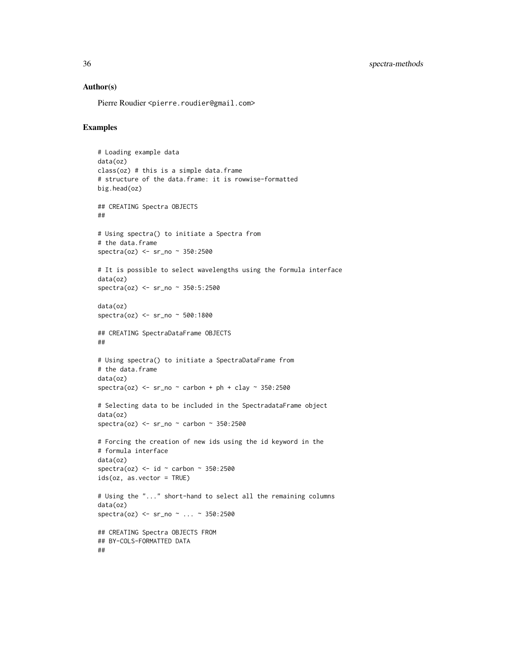#### Author(s)

Pierre Roudier <pierre.roudier@gmail.com>

```
# Loading example data
data(oz)
class(oz) # this is a simple data.frame
# structure of the data.frame: it is rowwise-formatted
big.head(oz)
## CREATING Spectra OBJECTS
##
# Using spectra() to initiate a Spectra from
# the data.frame
spectra(oz) <- sr_no ~ 350:2500
# It is possible to select wavelengths using the formula interface
data(oz)
spectra(oz) <- sr_no ~ 350:5:2500
data(oz)
spectra(oz) <- sr_no ~ 500:1800
## CREATING SpectraDataFrame OBJECTS
##
# Using spectra() to initiate a SpectraDataFrame from
# the data.frame
data(oz)
spectra(oz) \le sr_no \sim carbon + ph + clay \sim 350:2500
# Selecting data to be included in the SpectradataFrame object
data(oz)
spectra(oz) <- sr_no ~ carbon ~ 350:2500
# Forcing the creation of new ids using the id keyword in the
# formula interface
data(oz)
spectra(oz) \le id \sim carbon \sim 350:2500
ids(oz, as.vector = TRUE)
# Using the "..." short-hand to select all the remaining columns
data(oz)
spectra(oz) <- sr_no ~ ... ~ 350:2500
## CREATING Spectra OBJECTS FROM
## BY-COLS-FORMATTED DATA
##
```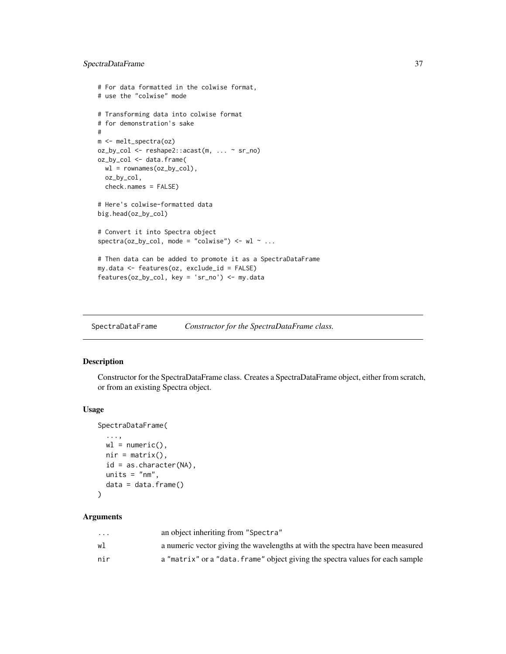## <span id="page-36-0"></span>SpectraDataFrame 37

```
# For data formatted in the colwise format,
# use the "colwise" mode
# Transforming data into colwise format
# for demonstration's sake
#
m <- melt_spectra(oz)
oz_by_col <- reshape2::acast(m, ... ~ sr_no)
oz_by_col <- data.frame(
  wl = rownames(oz_by_col),
  oz_by_col,
  check.names = FALSE)
# Here's colwise-formatted data
big.head(oz_by_col)
# Convert it into Spectra object
spectra(oz_by_col, mode = "colwise") \leftarrow w1 \sim ...# Then data can be added to promote it as a SpectraDataFrame
my.data <- features(oz, exclude_id = FALSE)
features(oz_by_col, key = 'sr_no') <- my.data
```
SpectraDataFrame *Constructor for the SpectraDataFrame class.*

## Description

Constructor for the SpectraDataFrame class. Creates a SpectraDataFrame object, either from scratch, or from an existing Spectra object.

#### Usage

```
SpectraDataFrame(
  ...,
 wl = numeric(),nir = matrix(),
 id = as.character(NA),
 units = "nm",data = data.frame()
```

```
)
```

| $\cdot$ $\cdot$ $\cdot$ | an object inheriting from "Spectra"                                            |
|-------------------------|--------------------------------------------------------------------------------|
| w1                      | a numeric vector giving the wavelengths at with the spectra have been measured |
| nir                     | a "matrix" or a "data. frame" object giving the spectra values for each sample |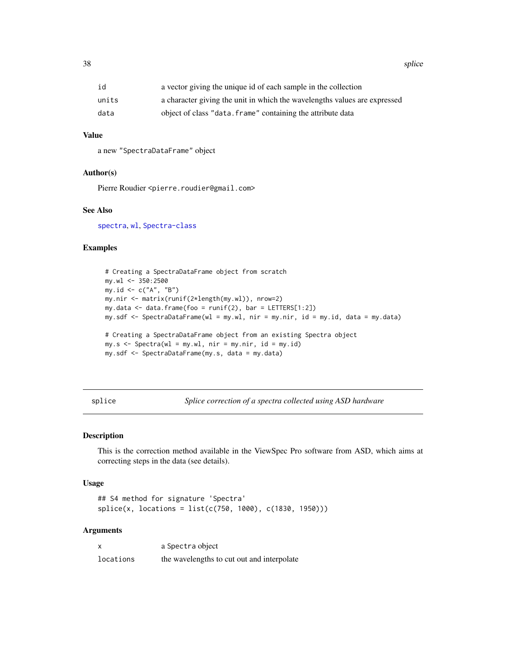<span id="page-37-0"></span>38 splice that the contract of the contract of the contract of the contract of the contract of the contract of the contract of the contract of the contract of the contract of the contract of the contract of the contract of

| id    | a vector giving the unique id of each sample in the collection            |
|-------|---------------------------------------------------------------------------|
| units | a character giving the unit in which the wavelengths values are expressed |
| data  | object of class "data. frame" containing the attribute data               |

## Value

a new "SpectraDataFrame" object

## Author(s)

Pierre Roudier <pierre.roudier@gmail.com>

#### See Also

[spectra](#page-33-1), [wl](#page-41-1), [Spectra-class](#page-32-2)

#### Examples

```
# Creating a SpectraDataFrame object from scratch
my.wl <- 350:2500
my.id <- c("A", "B")
my.nir <- matrix(runif(2*length(my.wl)), nrow=2)
my.data <- data.frame(foo = runif(2), bar = LETTERS[1:2])
my.sdf <- SpectraDataFrame(wl = my.wl, nir = my.nir, id = my.id, data = my.data)
# Creating a SpectraDataFrame object from an existing Spectra object
my.s < - Spectra(wl = my.wl, nir = my.nir, id = my.id)
my.sdf <- SpectraDataFrame(my.s, data = my.data)
```
splice *Splice correction of a spectra collected using ASD hardware*

## Description

This is the correction method available in the ViewSpec Pro software from ASD, which aims at correcting steps in the data (see details).

#### Usage

```
## S4 method for signature 'Spectra'
splice(x, locations = list(c(750, 1000), c(1830, 1950)))
```

|           | a Spectra object                           |
|-----------|--------------------------------------------|
| locations | the wavelengths to cut out and interpolate |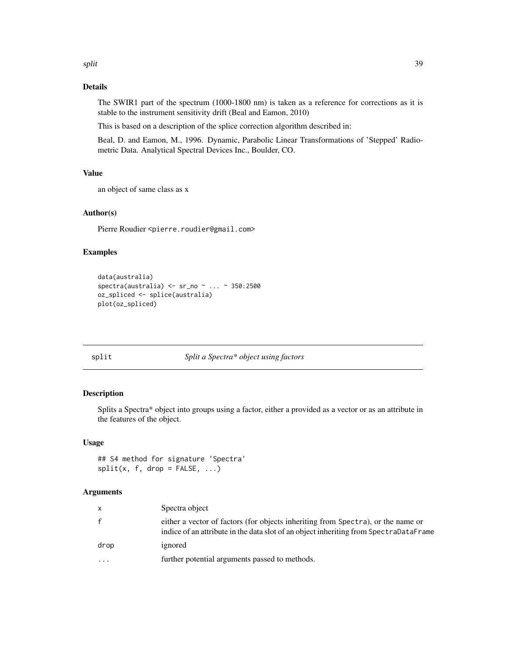## <span id="page-38-0"></span>Details

The SWIR1 part of the spectrum (1000-1800 nm) is taken as a reference for corrections as it is stable to the instrument sensitivity drift (Beal and Eamon, 2010)

This is based on a description of the splice correction algorithm described in:

Beal, D. and Eamon, M., 1996. Dynamic, Parabolic Linear Transformations of 'Stepped' Radiometric Data. Analytical Spectral Devices Inc., Boulder, CO.

## Value

an object of same class as x

#### Author(s)

Pierre Roudier <pierre.roudier@gmail.com>

#### Examples

```
data(australia)
spectra(australia) <- sr_no ~ ... ~ 350:2500
oz_spliced <- splice(australia)
plot(oz_spliced)
```
## split *Split a Spectra\* object using factors*

#### Description

Splits a Spectra\* object into groups using a factor, either a provided as a vector or as an attribute in the features of the object.

#### Usage

## S4 method for signature 'Spectra'  $split(x, f, drop = FALSE, ...)$ 

| X            | Spectra object                                                                                                                                                            |
|--------------|---------------------------------------------------------------------------------------------------------------------------------------------------------------------------|
| $\mathbf{f}$ | either a vector of factors (for objects inheriting from Spectra), or the name or<br>indice of an attribute in the data slot of an object inheriting from SpectraDataFrame |
| drop         | ignored                                                                                                                                                                   |
| $\ddotsc$    | further potential arguments passed to methods.                                                                                                                            |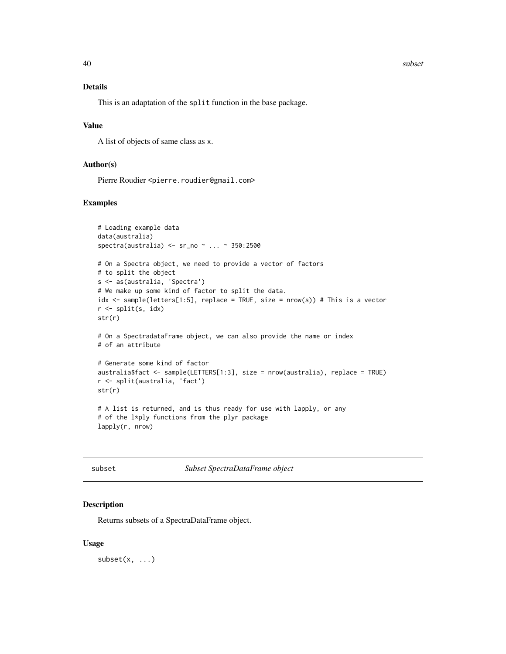#### <span id="page-39-0"></span>40 subset and the subset of  $\sim$  subset of  $\sim$  subset of  $\sim$  subset of  $\sim$  subset of  $\sim$  subset of  $\sim$  subset of  $\sim$  subset of  $\sim$  subset of  $\sim$  subset of  $\sim$  subset of  $\sim$  subset of  $\sim$  subset of  $\sim$  subset of

#### Details

This is an adaptation of the split function in the base package.

#### Value

A list of objects of same class as x.

## Author(s)

Pierre Roudier <pierre.roudier@gmail.com>

#### Examples

```
# Loading example data
data(australia)
spectra(australia) <- sr_no ~ ... ~ 350:2500
# On a Spectra object, we need to provide a vector of factors
# to split the object
s <- as(australia, 'Spectra')
# We make up some kind of factor to split the data.
idx <- sample(letters[1:5], replace = TRUE, size = nrow(s)) # This is a vector
r <- split(s, idx)
str(r)
# On a SpectradataFrame object, we can also provide the name or index
# of an attribute
# Generate some kind of factor
australia$fact <- sample(LETTERS[1:3], size = nrow(australia), replace = TRUE)
r <- split(australia, 'fact')
str(r)
# A list is returned, and is thus ready for use with lapply, or any
# of the l*ply functions from the plyr package
lapply(r, nrow)
```
subset *Subset SpectraDataFrame object*

## Description

Returns subsets of a SpectraDataFrame object.

### Usage

 $subset(x, \ldots)$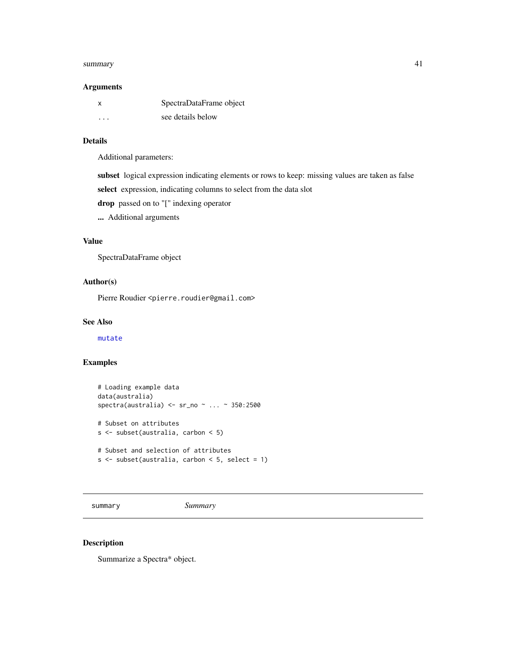#### <span id="page-40-0"></span>summary that the contract of the contract of the contract of the contract of the contract of the contract of the contract of the contract of the contract of the contract of the contract of the contract of the contract of t

#### Arguments

| x       | SpectraDataFrame object |
|---------|-------------------------|
| $\cdot$ | see details below       |

## Details

Additional parameters:

subset logical expression indicating elements or rows to keep: missing values are taken as false

select expression, indicating columns to select from the data slot

drop passed on to "[" indexing operator

... Additional arguments

## Value

SpectraDataFrame object

## Author(s)

Pierre Roudier <pierre.roudier@gmail.com>

## See Also

[mutate](#page-22-1)

#### Examples

```
# Loading example data
data(australia)
spectra(australia) <- sr_no ~ ... ~ 350:2500
# Subset on attributes
s <- subset(australia, carbon < 5)
# Subset and selection of attributes
```

```
s \leq - subset(australia, carbon \leq 5, select = 1)
```
summary *Summary*

#### Description

Summarize a Spectra\* object.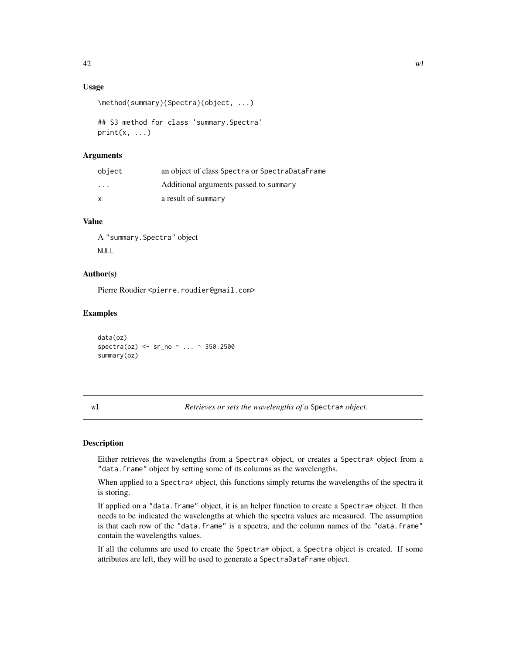## <span id="page-41-0"></span>Usage

```
\method{summary}{Spectra}(object, ...)
```

```
## S3 method for class 'summary.Spectra'
print(x, \ldots)
```
## **Arguments**

| object       | an object of class Spectra or SpectraDataFrame |
|--------------|------------------------------------------------|
| $\cdots$     | Additional arguments passed to summary         |
| $\mathsf{x}$ | a result of summary                            |

## Value

A "summary.Spectra" object NULL

#### Author(s)

Pierre Roudier <pierre.roudier@gmail.com>

#### Examples

data(oz) spectra(oz) <- sr\_no ~ ... ~ 350:2500 summary(oz)

<span id="page-41-1"></span>

| V. |  |
|----|--|

wl *Retrieves or sets the wavelengths of a* Spectra\* *object.*

## Description

Either retrieves the wavelengths from a Spectra\* object, or creates a Spectra\* object from a "data.frame" object by setting some of its columns as the wavelengths.

When applied to a Spectra $*$  object, this functions simply returns the wavelengths of the spectra it is storing.

If applied on a "data. frame" object, it is an helper function to create a Spectra $*$  object. It then needs to be indicated the wavelengths at which the spectra values are measured. The assumption is that each row of the "data.frame" is a spectra, and the column names of the "data.frame" contain the wavelengths values.

If all the columns are used to create the Spectra\* object, a Spectra object is created. If some attributes are left, they will be used to generate a SpectraDataFrame object.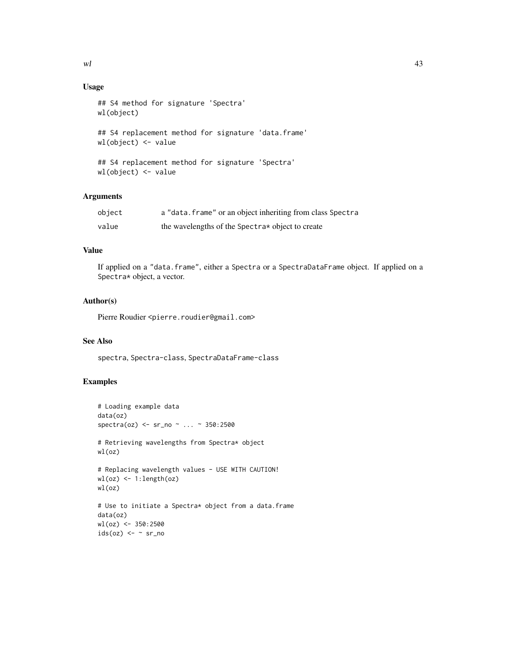## Usage

```
## S4 method for signature 'Spectra'
wl(object)
## S4 replacement method for signature 'data.frame'
wl(object) <- value
## S4 replacement method for signature 'Spectra'
```

```
wl(object) <- value
```
#### Arguments

| object | a "data. frame" or an object inheriting from class Spectra |
|--------|------------------------------------------------------------|
| value  | the wavelengths of the Spectra* object to create           |

## Value

If applied on a "data.frame", either a Spectra or a SpectraDataFrame object. If applied on a Spectra\* object, a vector.

#### Author(s)

Pierre Roudier <pierre.roudier@gmail.com>

## See Also

spectra, Spectra-class, SpectraDataFrame-class

```
# Loading example data
data(oz)
spectra(oz) <- sr_no ~ ... ~ 350:2500
# Retrieving wavelengths from Spectra* object
wl(oz)
# Replacing wavelength values - USE WITH CAUTION!
wl(oz) <- 1:length(oz)
wl(oz)
# Use to initiate a Spectra* object from a data.frame
data(oz)
wl(oz) <- 350:2500
ids(oz) <- ~ sr\_no
```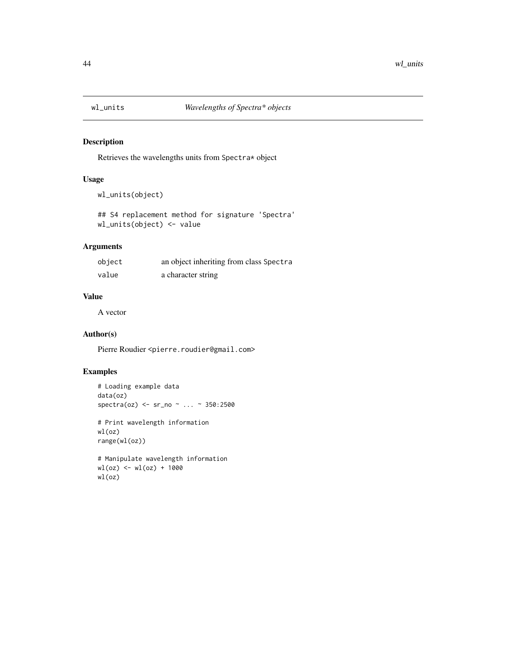<span id="page-43-0"></span>

## Description

Retrieves the wavelengths units from Spectra\* object

## Usage

```
wl_units(object)
```
## S4 replacement method for signature 'Spectra' wl\_units(object) <- value

## Arguments

| object | an object inheriting from class Spectra |
|--------|-----------------------------------------|
| value  | a character string                      |

## Value

A vector

## Author(s)

Pierre Roudier <pierre.roudier@gmail.com>

```
# Loading example data
data(oz)
spectra(oz) <- sr_no ~ ... ~ 350:2500
# Print wavelength information
wl(oz)
range(wl(oz))
```

```
# Manipulate wavelength information
wl(oz) <- wl(oz) + 1000
wl(oz)
```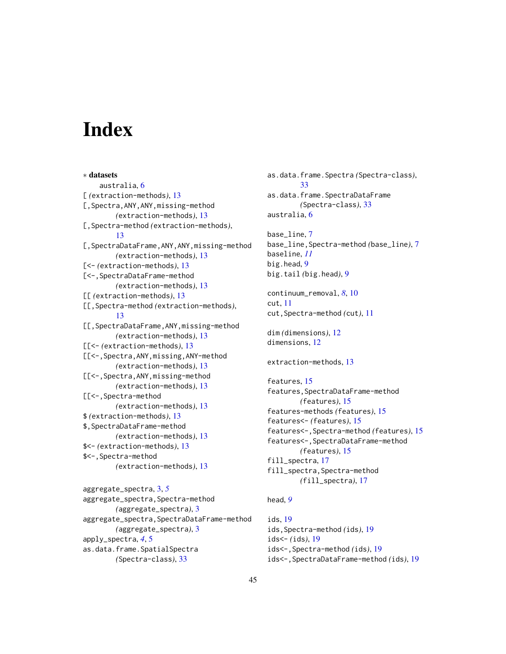# <span id="page-44-0"></span>**Index**

∗ datasets australia, [6](#page-5-0) [ *(*extraction-methods*)*, [13](#page-12-0) [, Spectra, ANY, ANY, missing-method *(*extraction-methods*)*, [13](#page-12-0) [,Spectra-method *(*extraction-methods*)*, [13](#page-12-0) [,SpectraDataFrame,ANY,ANY,missing-method *(*extraction-methods*)*, [13](#page-12-0) [<- *(*extraction-methods*)*, [13](#page-12-0) [<-,SpectraDataFrame-method *(*extraction-methods*)*, [13](#page-12-0) [[ *(*extraction-methods*)*, [13](#page-12-0) [[,Spectra-method *(*extraction-methods*)*, [13](#page-12-0) [[,SpectraDataFrame,ANY,missing-method *(*extraction-methods*)*, [13](#page-12-0) [[<- *(*extraction-methods*)*, [13](#page-12-0) [[<-,Spectra,ANY,missing,ANY-method *(*extraction-methods*)*, [13](#page-12-0) [[<-,Spectra,ANY,missing-method *(*extraction-methods*)*, [13](#page-12-0) [[<-,Spectra-method *(*extraction-methods*)*, [13](#page-12-0) \$ *(*extraction-methods*)*, [13](#page-12-0) \$,SpectraDataFrame-method *(*extraction-methods*)*, [13](#page-12-0) \$<- *(*extraction-methods*)*, [13](#page-12-0) \$<-,Spectra-method *(*extraction-methods*)*, [13](#page-12-0)

aggregate\_spectra, [3,](#page-2-0) *[5](#page-4-0)*

apply\_spectra, *[4](#page-3-0)*, [5](#page-4-0)

aggregate\_spectra,Spectra-method *(*aggregate\_spectra*)*, [3](#page-2-0) aggregate\_spectra,SpectraDataFrame-method *(*aggregate\_spectra*)*, [3](#page-2-0)

as.data.frame.SpatialSpectra *(*Spectra-class*)*, [33](#page-32-0)

as.data.frame.Spectra *(*Spectra-class*)*, [33](#page-32-0) as.data.frame.SpectraDataFrame *(*Spectra-class*)*, [33](#page-32-0) australia, [6](#page-5-0)

base\_line, [7](#page-6-0) base\_line,Spectra-method *(*base\_line*)*, [7](#page-6-0) baseline, *[11](#page-10-0)* big.head, [9](#page-8-0) big.tail *(*big.head*)*, [9](#page-8-0)

continuum\_removal, *[8](#page-7-0)*, [10](#page-9-0) cut, [11](#page-10-0) cut,Spectra-method *(*cut*)*, [11](#page-10-0)

dim *(*dimensions*)*, [12](#page-11-0) dimensions, [12](#page-11-0)

extraction-methods, [13](#page-12-0)

features, [15](#page-14-0) features,SpectraDataFrame-method *(*features*)*, [15](#page-14-0) features-methods *(*features*)*, [15](#page-14-0) features<- *(*features*)*, [15](#page-14-0) features<-,Spectra-method *(*features*)*, [15](#page-14-0) features<-,SpectraDataFrame-method *(*features*)*, [15](#page-14-0) fill\_spectra, [17](#page-16-0) fill\_spectra,Spectra-method *(*fill\_spectra*)*, [17](#page-16-0)

## head, *[9](#page-8-0)*

ids, [19](#page-18-0) ids,Spectra-method *(*ids*)*, [19](#page-18-0) ids<- *(*ids*)*, [19](#page-18-0) ids<-,Spectra-method *(*ids*)*, [19](#page-18-0) ids<-,SpectraDataFrame-method *(*ids*)*, [19](#page-18-0)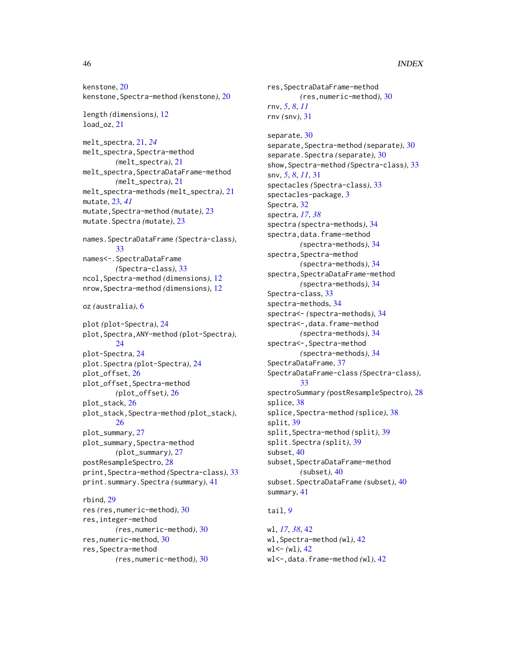kenstone, [20](#page-19-0) kenstone,Spectra-method *(*kenstone*)*, [20](#page-19-0)

```
length (dimensions), 12
21
```
melt\_spectra, [21,](#page-20-0) *[24](#page-23-0)* melt\_spectra,Spectra-method *(*melt\_spectra*)*, [21](#page-20-0) melt\_spectra,SpectraDataFrame-method *(*melt\_spectra*)*, [21](#page-20-0) melt\_spectra-methods *(*melt\_spectra*)*, [21](#page-20-0) mutate, [23,](#page-22-0) *[41](#page-40-0)* mutate,Spectra-method *(*mutate*)*, [23](#page-22-0) mutate.Spectra *(*mutate*)*, [23](#page-22-0)

```
names.SpectraDataFrame (Spectra-class),
        33
names<-.SpectraDataFrame
        (Spectra-class), 33
ncol,Spectra-method (dimensions), 12
nrow,Spectra-method (dimensions), 12
```
oz *(*australia*)*, [6](#page-5-0)

```
plot (plot-Spectra), 24
plot,Spectra,ANY-method (plot-Spectra),
        24plot-Spectra, 24
plot.Spectra (plot-Spectra), 24
plot_offset, 26
plot_offset,Spectra-method
        (plot_offset), 26
plot_stack, 26
plot_stack,Spectra-method (plot_stack),
        26
plot_summary, 27
plot_summary,Spectra-method
        (plot_summary), 27
postResampleSpectro, 28
print,Spectra-method (Spectra-class), 33
print.summary.Spectra (summary), 41
rbind, 29
```

```
res (res,numeric-method), 30
res,integer-method
        (res,numeric-method), 30
res,numeric-method, 30
res,Spectra-method
        (res,numeric-method), 30
```
*(*res,numeric-method*)*, [30](#page-29-0) rnv, *[5](#page-4-0)*, *[8](#page-7-0)*, *[11](#page-10-0)* rnv *(*snv*)*, [31](#page-30-0) separate, [30](#page-29-0) separate,Spectra-method *(*separate*)*, [30](#page-29-0) separate.Spectra *(*separate*)*, [30](#page-29-0) show,Spectra-method *(*Spectra-class*)*, [33](#page-32-0) snv, *[5](#page-4-0)*, *[8](#page-7-0)*, *[11](#page-10-0)*, [31](#page-30-0) spectacles *(*Spectra-class*)*, [33](#page-32-0) spectacles-package, [3](#page-2-0) Spectra, [32](#page-31-0) spectra, *[17](#page-16-0)*, *[38](#page-37-0)* spectra *(*spectra-methods*)*, [34](#page-33-0) spectra, data.frame-method *(*spectra-methods*)*, [34](#page-33-0) spectra,Spectra-method *(*spectra-methods*)*, [34](#page-33-0) spectra,SpectraDataFrame-method *(*spectra-methods*)*, [34](#page-33-0) Spectra-class, [33](#page-32-0) spectra-methods, [34](#page-33-0) spectra<- *(*spectra-methods*)*, [34](#page-33-0) spectra<-,data.frame-method *(*spectra-methods*)*, [34](#page-33-0) spectra<-,Spectra-method *(*spectra-methods*)*, [34](#page-33-0) SpectraDataFrame, [37](#page-36-0) SpectraDataFrame-class *(*Spectra-class*)*, [33](#page-32-0) spectroSummary *(*postResampleSpectro*)*, [28](#page-27-0) splice, [38](#page-37-0) splice,Spectra-method *(*splice*)*, [38](#page-37-0) split, [39](#page-38-0) split,Spectra-method *(*split*)*, [39](#page-38-0) split.Spectra *(*split*)*, [39](#page-38-0) subset, [40](#page-39-0) subset, SpectraDataFrame-method *(*subset*)*, [40](#page-39-0) subset.SpectraDataFrame *(*subset*)*, [40](#page-39-0) summary, [41](#page-40-0)

res,SpectraDataFrame-method

## tail, *[9](#page-8-0)*

```
wl, 17, 38, 42
wl,Spectra-method (wl), 42
wl<- (wl), 42
wl <-, data.frame-method (wl)42
```